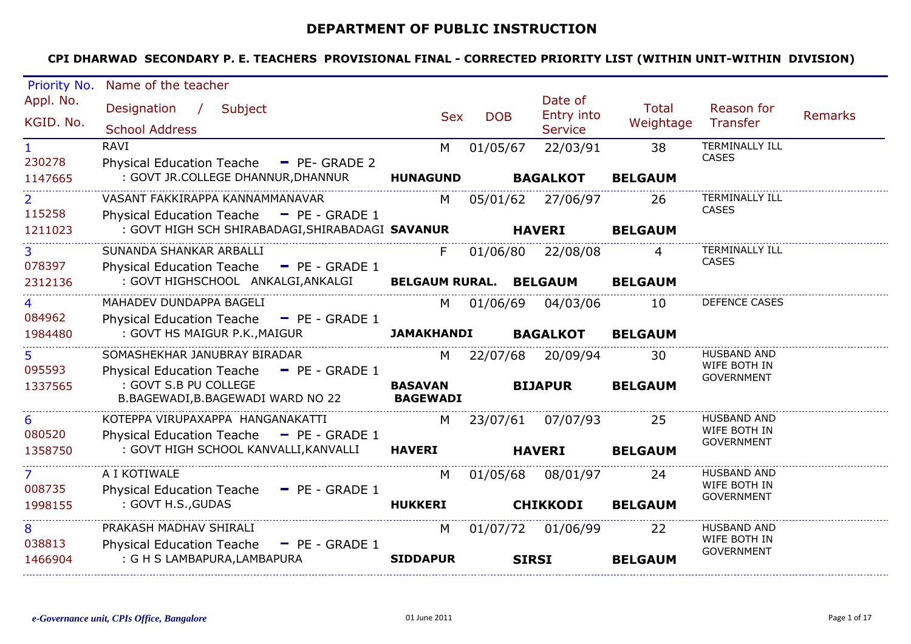## **DEPARTMENT OF PUBLIC INSTRUCTION**

| Priority No.   | Name of the teacher                                                      |                   |            |                     |                |                                       |         |
|----------------|--------------------------------------------------------------------------|-------------------|------------|---------------------|----------------|---------------------------------------|---------|
| Appl. No.      | Designation / Subject                                                    |                   |            | Date of             | Total          | Reason for                            |         |
| KGID. No.      |                                                                          | <b>Sex</b>        | <b>DOB</b> | Entry into          | Weightage      | Transfer                              | Remarks |
|                | <b>School Address</b>                                                    |                   |            | <b>Service</b>      |                |                                       |         |
| $\mathbf{1}$   | <b>RAVI</b>                                                              | M                 | 01/05/67   | 22/03/91            | 38             | <b>TERMINALLY ILL</b><br><b>CASES</b> |         |
| 230278         | Physical Education Teache - PE- GRADE 2                                  |                   |            |                     |                |                                       |         |
| 1147665        | : GOVT JR.COLLEGE DHANNUR, DHANNUR                                       | <b>HUNAGUND</b>   |            | <b>BAGALKOT</b>     | <b>BELGAUM</b> |                                       |         |
| 2 <sup>1</sup> | VASANT FAKKIRAPPA KANNAMMANAVAR                                          | M <sub>1</sub>    |            | 05/01/62 27/06/97   | -26            | TERMINALLY ILL<br><b>CASES</b>        |         |
| 115258         | Physical Education Teache - PE - GRADE 1                                 |                   |            |                     |                |                                       |         |
| 1211023        | : GOVT HIGH SCH SHIRABADAGI, SHIRABADAGI SAVANUR HAVERI                  |                   |            |                     | <b>BELGAUM</b> |                                       |         |
| 3 <sup>1</sup> | SUNANDA SHANKAR ARBALLI                                                  | F.                |            | 01/06/80 22/08/08   | 4              | <b>TERMINALLY ILL</b>                 |         |
| 078397         | Physical Education Teache - PE - GRADE 1                                 |                   |            |                     |                | <b>CASES</b>                          |         |
| 2312136        | : GOVT HIGHSCHOOL ANKALGI,ANKALGI BELGAUM RURAL. BELGAUM                 |                   |            |                     | <b>BELGAUM</b> |                                       |         |
| $\overline{4}$ | MAHADEV DUNDAPPA BAGELI                                                  | M l               |            | 01/06/69 04/03/06   | 10             | <b>DEFENCE CASES</b>                  |         |
| 084962         | Physical Education Teache - PE - GRADE 1                                 |                   |            |                     |                |                                       |         |
| 1984480        | : GOVT HS MAIGUR P.K., MAIGUR                                            | <b>JAMAKHANDI</b> |            | <b>BAGALKOT</b>     | <b>BELGAUM</b> |                                       |         |
| 5.             | SOMASHEKHAR JANUBRAY BIRADAR                                             | M                 |            | 22/07/68 20/09/94   | 30             | HUSBAND AND                           |         |
| 095593         | Physical Education Teache - PE - GRADE 1                                 |                   |            |                     |                | WIFE BOTH IN                          |         |
| 1337565        | : GOVT S.B PU COLLEGE                                                    | <b>BASAVAN</b>    |            | <b>BIJAPUR</b>      | <b>BELGAUM</b> | <b>GOVERNMENT</b>                     |         |
|                | B.BAGEWADI,B.BAGEWADI WARD NO 22                                         | <b>BAGEWADI</b>   |            |                     |                |                                       |         |
| 6              | KOTEPPA VIRUPAXAPPA HANGANAKATTI                                         |                   |            | M 23/07/61 07/07/93 | 25             | HUSBAND AND                           |         |
| 080520         | Physical Education Teache - PE - GRADE 1                                 |                   |            |                     |                | WIFE BOTH IN<br><b>GOVERNMENT</b>     |         |
| 1358750        | : GOVT HIGH SCHOOL KANVALLI, KANVALLI                                    | <b>HAVERI</b>     |            | <b>HAVERI</b>       | <b>BELGAUM</b> |                                       |         |
| 7 <sup>7</sup> | A I KOTIWALE                                                             | M                 |            | 01/05/68 08/01/97   | 24             | HUSBAND AND                           |         |
| 008735         | Physical Education Teache - PE - GRADE 1                                 |                   |            |                     |                | WIFE BOTH IN                          |         |
| 1998155        | : GOVT H.S., GUDAS                                                       | <b>HUKKERI</b>    |            | <b>CHIKKODI</b>     | <b>BELGAUM</b> | <b>GOVERNMENT</b>                     |         |
|                |                                                                          |                   |            |                     |                |                                       |         |
| 8<br>038813    | PRAKASH MADHAV SHIRALI                                                   | M                 |            | 01/07/72 01/06/99   | 22             | <b>HUSBAND AND</b><br>WIFE BOTH IN    |         |
| 1466904        | Physical Education Teache - PE - GRADE 1<br>: G H S LAMBAPURA, LAMBAPURA | <b>SIDDAPUR</b>   |            | <b>SIRSI</b>        | <b>BELGAUM</b> | <b>GOVERNMENT</b>                     |         |
|                |                                                                          |                   |            |                     |                |                                       |         |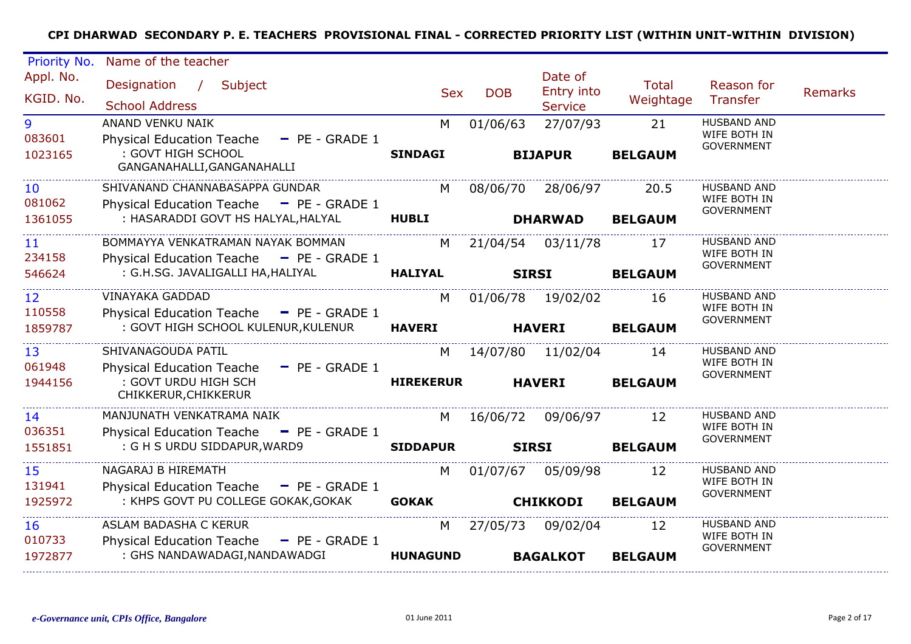| Priority No.                | Name of the teacher                                                                                  |                  |              |                       |                           |                                    |                |
|-----------------------------|------------------------------------------------------------------------------------------------------|------------------|--------------|-----------------------|---------------------------|------------------------------------|----------------|
| Appl. No.<br>KGID. No.      | Designation /<br>Subject                                                                             | <b>Sex</b>       | <b>DOB</b>   | Date of<br>Entry into | <b>Total</b><br>Weightage | Reason for<br>Transfer             | <b>Remarks</b> |
|                             | <b>School Address</b>                                                                                |                  |              | <b>Service</b>        |                           |                                    |                |
| 9<br>083601                 | ANAND VENKU NAIK<br><b>Physical Education Teache</b><br>$P = P = GRADE1$                             | M                | 01/06/63     | 27/07/93              | 21                        | <b>HUSBAND AND</b><br>WIFE BOTH IN |                |
| 1023165                     | : GOVT HIGH SCHOOL<br>GANGANAHALLI, GANGANAHALLI                                                     | <b>SINDAGI</b>   |              | <b>BIJAPUR</b>        | <b>BELGAUM</b>            | <b>GOVERNMENT</b>                  |                |
| 10<br>081062                | SHIVANAND CHANNABASAPPA GUNDAR<br>Physical Education Teache - PE - GRADE 1                           | M l              | 08/06/70     | 28/06/97              | 20.5                      | <b>HUSBAND AND</b><br>WIFE BOTH IN |                |
| 1361055                     | : HASARADDI GOVT HS HALYAL, HALYAL                                                                   | <b>HUBLI</b>     |              | <b>DHARWAD</b>        | <b>BELGAUM</b>            | <b>GOVERNMENT</b>                  |                |
| 11<br>234158                | BOMMAYYA VENKATRAMAN NAYAK BOMMAN<br>Physical Education Teache - PE - GRADE 1                        | M l              | 21/04/54     | 03/11/78              | 17                        | <b>HUSBAND AND</b><br>WIFE BOTH IN |                |
| 546624                      | : G.H.SG. JAVALIGALLI HA, HALIYAL                                                                    | <b>HALIYAL</b>   | <b>SIRSI</b> |                       | <b>BELGAUM</b>            | <b>GOVERNMENT</b>                  |                |
| $12 \overline{ }$<br>110558 | <b>VINAYAKA GADDAD</b>                                                                               | M                |              | 01/06/78 19/02/02     | 16                        | <b>HUSBAND AND</b><br>WIFE BOTH IN |                |
| 1859787                     | Physical Education Teache - PE - GRADE 1<br>: GOVT HIGH SCHOOL KULENUR, KULENUR                      | <b>HAVERI</b>    |              | <b>HAVERI</b>         | <b>BELGAUM</b>            | <b>GOVERNMENT</b>                  |                |
| 13<br>061948                | SHIVANAGOUDA PATIL                                                                                   | M                |              | 14/07/80 11/02/04     | 14                        | <b>HUSBAND AND</b><br>WIFE BOTH IN |                |
| 1944156                     | <b>Physical Education Teache</b><br>$-$ PE - GRADE 1<br>: GOVT URDU HIGH SCH<br>CHIKKERUR, CHIKKERUR | <b>HIREKERUR</b> |              | <b>HAVERI</b>         | <b>BELGAUM</b>            | <b>GOVERNMENT</b>                  |                |
| 14<br>036351                | MANJUNATH VENKATRAMA NAIK<br>Physical Education Teache - PE - GRADE 1                                | M                | 16/06/72     | 09/06/97              | 12                        | <b>HUSBAND AND</b><br>WIFE BOTH IN |                |
| 1551851                     | : G H S URDU SIDDAPUR, WARD9                                                                         | <b>SIDDAPUR</b>  | <b>SIRSI</b> |                       | <b>BELGAUM</b>            | <b>GOVERNMENT</b>                  |                |
| 15<br>131941                | NAGARAJ B HIREMATH<br><b>Physical Education Teache</b><br>$-$ PE - GRADE 1                           | M                | 01/07/67     | 05/09/98              | 12                        | <b>HUSBAND AND</b><br>WIFE BOTH IN |                |
| 1925972                     | : KHPS GOVT PU COLLEGE GOKAK, GOKAK                                                                  | <b>GOKAK</b>     |              | <b>CHIKKODI</b>       | <b>BELGAUM</b>            | <b>GOVERNMENT</b>                  |                |
| <b>16</b><br>010733         | ASLAM BADASHA C KERUR<br><b>Physical Education Teache</b><br>- PE - GRADE 1                          | M                | 27/05/73     | 09/02/04              | 12                        | HUSBAND AND<br>WIFE BOTH IN        |                |
| 1972877                     | : GHS NANDAWADAGI, NANDAWADGI                                                                        | <b>HUNAGUND</b>  |              | <b>BAGALKOT</b>       | <b>BELGAUM</b>            | <b>GOVERNMENT</b>                  |                |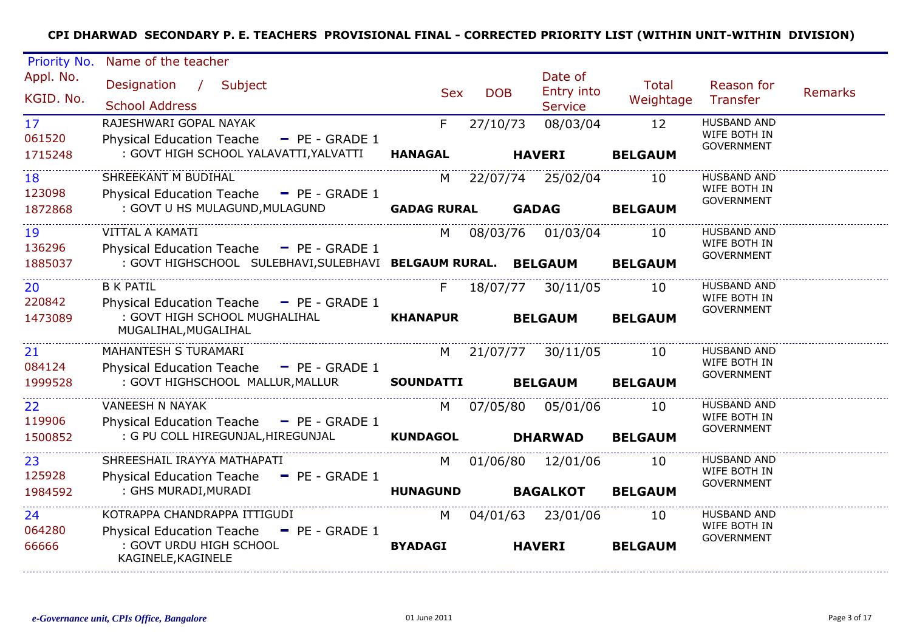| Priority No.                         | Name of the teacher                                                                                                          |                         |            |                                         |                           |                                                         |                |
|--------------------------------------|------------------------------------------------------------------------------------------------------------------------------|-------------------------|------------|-----------------------------------------|---------------------------|---------------------------------------------------------|----------------|
| Appl. No.<br>KGID. No.               | Designation /<br>Subject<br><b>School Address</b>                                                                            | <b>Sex</b>              | <b>DOB</b> | Date of<br>Entry into<br><b>Service</b> | <b>Total</b><br>Weightage | Reason for<br>Transfer                                  | <b>Remarks</b> |
| 17 <sup>2</sup><br>061520<br>1715248 | RAJESHWARI GOPAL NAYAK<br><b>Physical Education Teache</b><br>$-$ PE - GRADE 1<br>: GOVT HIGH SCHOOL YALAVATTI, YALVATTI     | F.<br><b>HANAGAL</b>    | 27/10/73   | 08/03/04<br><b>HAVERI</b>               | 12<br><b>BELGAUM</b>      | <b>HUSBAND AND</b><br>WIFE BOTH IN<br><b>GOVERNMENT</b> |                |
| 18<br>123098<br>1872868              | SHREEKANT M BUDIHAL<br>Physical Education Teache - PE - GRADE 1<br>: GOVT U HS MULAGUND, MULAGUND                            | M<br><b>GADAG RURAL</b> |            | 22/07/74 25/02/04<br><b>GADAG</b>       | 10<br><b>BELGAUM</b>      | <b>HUSBAND AND</b><br>WIFE BOTH IN<br><b>GOVERNMENT</b> |                |
| 19<br>136296<br>1885037              | VITTAL A KAMATI<br>Physical Education Teache - PE - GRADE 1<br>: GOVT HIGHSCHOOL SULEBHAVI, SULEBHAVI BELGAUM RURAL. BELGAUM | M                       | 08/03/76   | 01/03/04                                | 10<br><b>BELGAUM</b>      | <b>HUSBAND AND</b><br>WIFE BOTH IN<br><b>GOVERNMENT</b> |                |
| 20<br>220842<br>1473089              | <b>B K PATIL</b><br>Physical Education Teache - PE - GRADE 1<br>: GOVT HIGH SCHOOL MUGHALIHAL<br>MUGALIHAL, MUGALIHAL        | F.<br><b>KHANAPUR</b>   | 18/07/77   | 30/11/05<br><b>BELGAUM</b>              | 10<br><b>BELGAUM</b>      | <b>HUSBAND AND</b><br>WIFE BOTH IN<br><b>GOVERNMENT</b> |                |
| 21<br>084124<br>1999528              | MAHANTESH S TURAMARI<br>Physical Education Teache - PE - GRADE 1<br>: GOVT HIGHSCHOOL MALLUR, MALLUR                         | M<br><b>SOUNDATTI</b>   | 21/07/77   | 30/11/05<br><b>BELGAUM</b>              | 10<br><b>BELGAUM</b>      | <b>HUSBAND AND</b><br>WIFE BOTH IN<br><b>GOVERNMENT</b> |                |
| 22<br>119906<br>1500852              | <b>VANEESH N NAYAK</b><br>Physical Education Teache - PE - GRADE 1<br>: G PU COLL HIREGUNJAL, HIREGUNJAL                     | M<br><b>KUNDAGOL</b>    | 07/05/80   | 05/01/06<br><b>DHARWAD</b>              | 10<br><b>BELGAUM</b>      | <b>HUSBAND AND</b><br>WIFE BOTH IN<br><b>GOVERNMENT</b> |                |
| 23<br>125928<br>1984592              | SHREESHAIL IRAYYA MATHAPATI<br>Physical Education Teache - PE - GRADE 1<br>: GHS MURADI, MURADI                              | M l<br><b>HUNAGUND</b>  |            | 01/06/80 12/01/06<br><b>BAGALKOT</b>    | 10<br><b>BELGAUM</b>      | <b>HUSBAND AND</b><br>WIFE BOTH IN<br><b>GOVERNMENT</b> |                |
| 24<br>064280<br>66666                | KOTRAPPA CHANDRAPPA ITTIGUDI<br>Physical Education Teache - PE - GRADE 1<br>: GOVT URDU HIGH SCHOOL<br>KAGINELE, KAGINELE    | M<br><b>BYADAGI</b>     |            | 04/01/63 23/01/06<br><b>HAVERI</b>      | 10<br><b>BELGAUM</b>      | <b>HUSBAND AND</b><br>WIFE BOTH IN<br><b>GOVERNMENT</b> |                |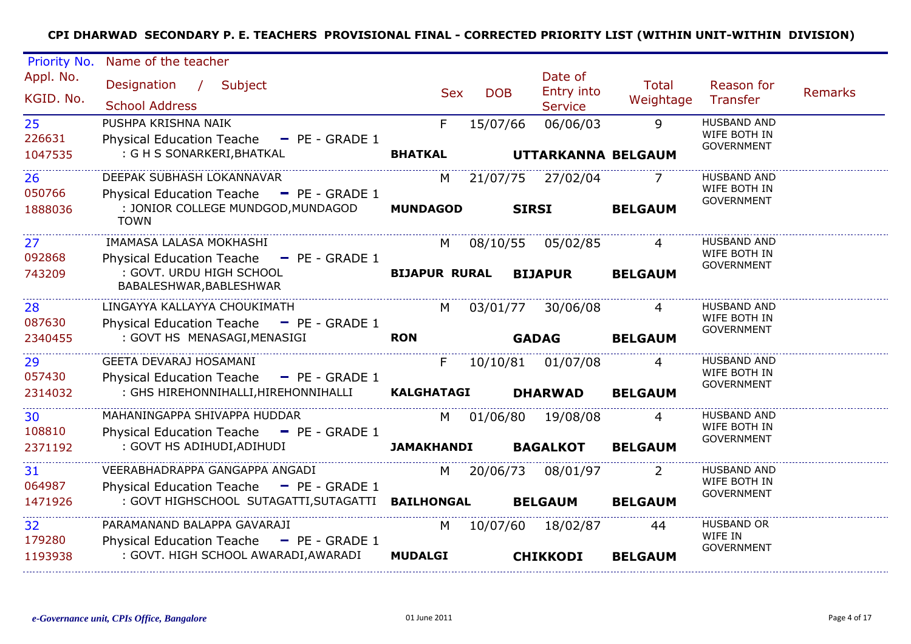| Priority No.            | Name of the teacher                                                                           |                      |            |                                         |                    |                                                         |         |
|-------------------------|-----------------------------------------------------------------------------------------------|----------------------|------------|-----------------------------------------|--------------------|---------------------------------------------------------|---------|
| Appl. No.<br>KGID. No.  | Designation / Subject<br><b>School Address</b>                                                | <b>Sex</b>           | <b>DOB</b> | Date of<br>Entry into<br><b>Service</b> | Total<br>Weightage | Reason for<br><b>Transfer</b>                           | Remarks |
| 25<br>226631<br>1047535 | PUSHPA KRISHNA NAIK<br>Physical Education Teache - PE - GRADE 1<br>: G H S SONARKERI, BHATKAL | F.<br><b>BHATKAL</b> | 15/07/66   | 06/06/03<br>UTTARKANNA BELGAUM          | 9                  | <b>HUSBAND AND</b><br>WIFE BOTH IN<br><b>GOVERNMENT</b> |         |
|                         |                                                                                               |                      |            |                                         |                    |                                                         |         |
| 26<br>050766            | DEEPAK SUBHASH LOKANNAVAR<br>Physical Education Teache $=$ PE - GRADE 1                       | M                    |            | 21/07/75 27/02/04                       |                    | <b>HUSBAND AND</b><br>WIFE BOTH IN                      |         |
| 1888036                 | : JONIOR COLLEGE MUNDGOD, MUNDAGOD<br><b>TOWN</b>                                             | <b>MUNDAGOD</b>      |            | <b>SIRSI</b>                            | <b>BELGAUM</b>     | <b>GOVERNMENT</b>                                       |         |
| 27<br>092868            | IMAMASA LALASA MOKHASHI<br>Physical Education Teache $=$ PE - GRADE 1                         | M                    |            | 08/10/55 05/02/85                       |                    | <b>HUSBAND AND</b><br>WIFE BOTH IN                      |         |
| 743209                  | : GOVT. URDU HIGH SCHOOL<br>BABALESHWAR, BABLESHWAR                                           | <b>BIJAPUR RURAL</b> |            | <b>BIJAPUR</b>                          | <b>BELGAUM</b>     | <b>GOVERNMENT</b>                                       |         |
| 28                      | LINGAYYA KALLAYYA CHOUKIMATH                                                                  | M                    | 03/01/77   | 30/06/08                                | 4                  | <b>HUSBAND AND</b><br>WIFE BOTH IN                      |         |
| 087630<br>2340455       | Physical Education Teache - PE - GRADE 1<br>: GOVT HS MENASAGI, MENASIGI                      | <b>RON</b>           |            | <b>GADAG</b>                            | <b>BELGAUM</b>     | <b>GOVERNMENT</b>                                       |         |
| 29                      | GEETA DEVARAJ HOSAMANI                                                                        | F.                   |            | 10/10/81 01/07/08                       | 4                  | <b>HUSBAND AND</b><br>WIFE BOTH IN                      |         |
| 057430<br>2314032       | Physical Education Teache - PE - GRADE 1<br>: GHS HIREHONNIHALLI, HIREHONNIHALLI              | <b>KALGHATAGI</b>    |            | <b>DHARWAD</b>                          | <b>BELGAUM</b>     | <b>GOVERNMENT</b>                                       |         |
| 30<br>108810            | MAHANINGAPPA SHIVAPPA HUDDAR<br>Physical Education Teache - PE - GRADE 1                      | M l                  | 01/06/80   | 19/08/08                                |                    | <b>HUSBAND AND</b><br>WIFE BOTH IN                      |         |
| 2371192                 | : GOVT HS ADIHUDI, ADIHUDI                                                                    | <b>JAMAKHANDI</b>    |            | <b>BAGALKOT</b>                         | <b>BELGAUM</b>     | <b>GOVERNMENT</b>                                       |         |
| 31<br>064987            | VEERABHADRAPPA GANGAPPA ANGADI<br>Physical Education Teache - PE - GRADE 1                    | M                    | 20/06/73   | 08/01/97                                |                    | <b>HUSBAND AND</b><br>WIFE BOTH IN                      |         |
| 1471926                 | : GOVT HIGHSCHOOL SUTAGATTI, SUTAGATTI BAILHONGAL                                             |                      |            | <b>BELGAUM</b>                          | <b>BELGAUM</b>     | <b>GOVERNMENT</b>                                       |         |
| 32<br>179280            | PARAMANAND BALAPPA GAVARAJI<br>Physical Education Teache - PE - GRADE 1                       | M                    | 10/07/60   | 18/02/87                                | 44                 | <b>HUSBAND OR</b><br>WIFE IN<br><b>GOVERNMENT</b>       |         |
| 1193938                 | : GOVT. HIGH SCHOOL AWARADI, AWARADI                                                          | <b>MUDALGI</b>       |            | <b>CHIKKODI</b>                         | <b>BELGAUM</b>     |                                                         |         |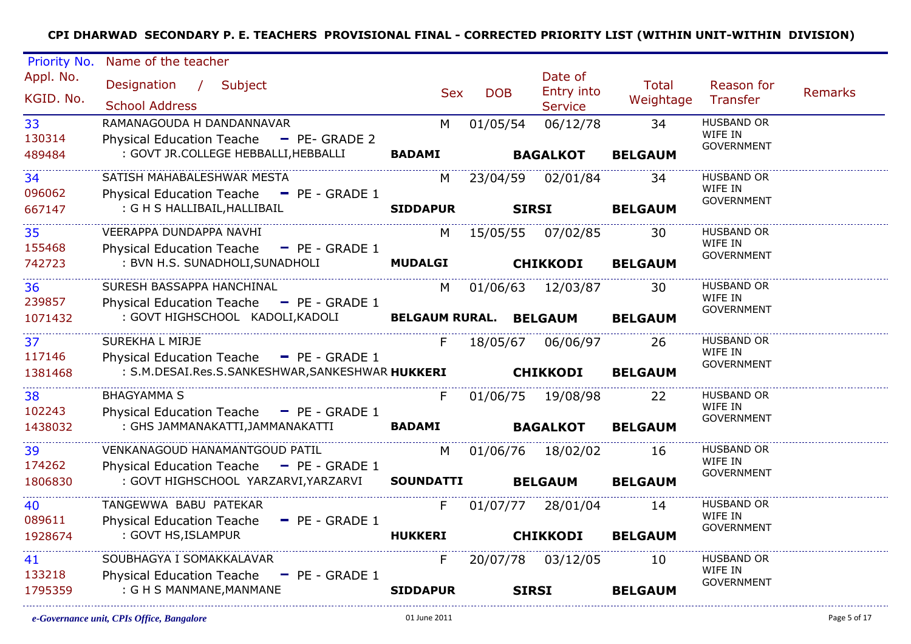| Priority No.               | Name of the teacher                                                  |                        |              |                   |                |                              |         |
|----------------------------|----------------------------------------------------------------------|------------------------|--------------|-------------------|----------------|------------------------------|---------|
| Appl. No.                  | Designation / Subject                                                |                        |              | Date of           | Total          | Reason for                   |         |
| KGID. No.                  |                                                                      | <b>Sex</b>             | <b>DOB</b>   | Entry into        | Weightage      | Transfer                     | Remarks |
|                            | <b>School Address</b>                                                |                        |              | <b>Service</b>    |                |                              |         |
| 33                         | RAMANAGOUDA H DANDANNAVAR                                            | M                      | 01/05/54     | 06/12/78          | 34             | <b>HUSBAND OR</b><br>WIFE IN |         |
| 130314                     | Physical Education Teache - PE- GRADE 2                              |                        |              |                   |                | <b>GOVERNMENT</b>            |         |
| 489484<br>________________ | : GOVT JR.COLLEGE HEBBALLI, HEBBALLI                                 | <b>BADAMI</b>          |              | <b>BAGALKOT</b>   | <b>BELGAUM</b> |                              |         |
| 34                         | SATISH MAHABALESHWAR MESTA                                           | M.                     |              | 23/04/59 02/01/84 | 34             | <b>HUSBAND OR</b>            |         |
| 096062                     | Physical Education Teache - PE - GRADE 1                             |                        |              |                   |                | WIFE IN<br><b>GOVERNMENT</b> |         |
| 667147                     | : G H S HALLIBAIL, HALLIBAIL                                         | <b>SIDDAPUR</b>        | <b>SIRSI</b> |                   | <b>BELGAUM</b> |                              |         |
| 35                         | VEERAPPA DUNDAPPA NAVHI                                              | M                      |              | 15/05/55 07/02/85 | 30             | HUSBAND OR                   |         |
| 155468                     | Physical Education Teache - PE - GRADE 1                             |                        |              |                   |                | WIFE IN<br><b>GOVERNMENT</b> |         |
| 742723                     | : BVN H.S. SUNADHOLI, SUNADHOLI                                      | <b>MUDALGI</b>         |              | <b>CHIKKODI</b>   | <b>BELGAUM</b> |                              |         |
| 36                         | SURESH BASSAPPA HANCHINAL                                            | M l                    |              | 01/06/63 12/03/87 | 30             | <b>HUSBAND OR</b>            |         |
| 239857                     | Physical Education Teache - PE - GRADE 1                             |                        |              |                   |                | WIFE IN                      |         |
| 1071432                    | : GOVT HIGHSCHOOL KADOLI, KADOLI                                     | BELGAUM RURAL. BELGAUM |              |                   | <b>BELGAUM</b> | <b>GOVERNMENT</b>            |         |
| 37                         | SUREKHA L MIRJE                                                      | F                      |              | 18/05/67 06/06/97 | 26             | <b>HUSBAND OR</b>            |         |
| 117146                     | Physical Education Teache - PE - GRADE 1                             |                        |              |                   |                | WIFE IN                      |         |
| 1381468                    | : S.M.DESAI.Res.S.SANKESHWAR,SANKESHWAR HUKKERI CHIKKODI             |                        |              |                   | <b>BELGAUM</b> | <b>GOVERNMENT</b>            |         |
|                            |                                                                      |                        |              |                   |                |                              |         |
| 38                         | <b>BHAGYAMMA S</b>                                                   | F                      |              | 01/06/75 19/08/98 | 22             | HUSBAND OR<br>WIFE IN        |         |
| 102243                     | Physical Education Teache - PE - GRADE 1                             |                        |              |                   |                | <b>GOVERNMENT</b>            |         |
| 1438032                    | : GHS JAMMANAKATTI, JAMMANAKATTI<br>________________________________ | <b>BADAMI</b>          |              | <b>BAGALKOT</b>   | <b>BELGAUM</b> |                              |         |
| 39                         | VENKANAGOUD HANAMANTGOUD PATIL                                       | M                      |              | 01/06/76 18/02/02 | 16             | <b>HUSBAND OR</b>            |         |
| 174262                     | Physical Education Teache - PE - GRADE 1                             |                        |              |                   |                | WIFE IN<br><b>GOVERNMENT</b> |         |
| 1806830                    | : GOVT HIGHSCHOOL YARZARVI, YARZARVI                                 | <b>SOUNDATTI</b>       |              | <b>BELGAUM</b>    | <b>BELGAUM</b> |                              |         |
| 40                         | TANGEWWA BABU PATEKAR                                                | F.                     |              | 01/07/77 28/01/04 | 14             | <b>HUSBAND OR</b>            |         |
| 089611                     | Physical Education Teache - PE - GRADE 1                             |                        |              |                   |                | WIFE IN<br><b>GOVERNMENT</b> |         |
| 1928674                    | : GOVT HS, ISLAMPUR                                                  | <b>HUKKERI</b>         |              | <b>CHIKKODI</b>   | <b>BELGAUM</b> |                              |         |
| 41                         | SOUBHAGYA I SOMAKKALAVAR                                             | F.                     |              | 20/07/78 03/12/05 | 10             | <b>HUSBAND OR</b>            |         |
| 133218                     | Physical Education Teache - PE - GRADE 1                             |                        |              |                   |                | WIFE IN                      |         |
| 1795359                    | : G H S MANMANE, MANMANE                                             | <b>SIDDAPUR</b>        | <b>SIRSI</b> |                   | <b>BELGAUM</b> | <b>GOVERNMENT</b>            |         |
|                            |                                                                      |                        |              |                   |                |                              |         |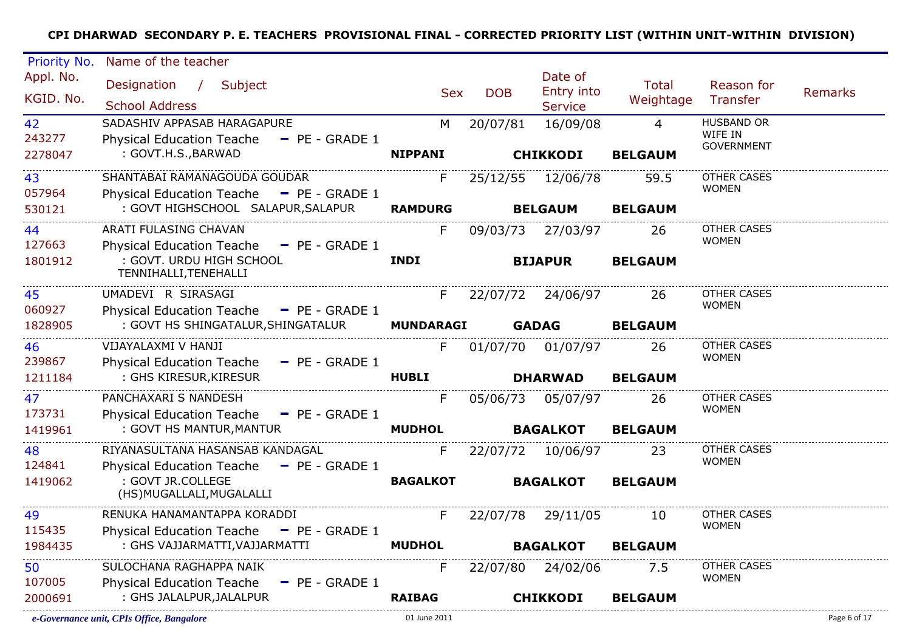| Priority No.           | Name of the teacher                                                         |                  |            |                                         |                    |                                    |                |
|------------------------|-----------------------------------------------------------------------------|------------------|------------|-----------------------------------------|--------------------|------------------------------------|----------------|
| Appl. No.<br>KGID. No. | Designation / Subject<br><b>School Address</b>                              | <b>Sex</b>       | <b>DOB</b> | Date of<br>Entry into<br><b>Service</b> | Total<br>Weightage | Reason for<br>Transfer             | <b>Remarks</b> |
| 42                     | SADASHIV APPASAB HARAGAPURE                                                 | M                | 20/07/81   | 16/09/08                                | $\overline{4}$     | <b>HUSBAND OR</b>                  |                |
| 243277                 | <b>Physical Education Teache</b><br>$P = PE - GRADE 1$                      |                  |            |                                         |                    | WIFE IN<br><b>GOVERNMENT</b>       |                |
| 2278047                | : GOVT.H.S., BARWAD                                                         | <b>NIPPANI</b>   |            | <b>CHIKKODI</b>                         | <b>BELGAUM</b>     |                                    |                |
| 43                     | SHANTABAI RAMANAGOUDA GOUDAR                                                | F.               |            | 25/12/55 12/06/78                       | 59.5               | <b>OTHER CASES</b>                 |                |
| 057964                 | Physical Education Teache - PE - GRADE 1                                    |                  |            |                                         |                    | <b>WOMEN</b>                       |                |
| 530121                 | : GOVT HIGHSCHOOL SALAPUR, SALAPUR                                          | <b>RAMDURG</b>   |            | <b>BELGAUM</b>                          | <b>BELGAUM</b>     |                                    |                |
| 44<br>127663           | ARATI FULASING CHAVAN<br>Physical Education Teache - PE - GRADE 1           | F.               |            | 09/03/73 27/03/97                       | 26                 | <b>OTHER CASES</b><br><b>WOMEN</b> |                |
| 1801912                | : GOVT. URDU HIGH SCHOOL<br>TENNIHALLI, TENEHALLI                           | <b>INDI</b>      |            | <b>BIJAPUR</b>                          | <b>BELGAUM</b>     |                                    |                |
| 45                     | UMADEVI R SIRASAGI                                                          | F.               | 22/07/72   | 24/06/97                                | 26                 | <b>OTHER CASES</b>                 |                |
| 060927                 | Physical Education Teache - PE - GRADE 1                                    |                  |            |                                         |                    | <b>WOMEN</b>                       |                |
| 1828905                | : GOVT HS SHINGATALUR, SHINGATALUR                                          | <b>MUNDARAGI</b> |            | <b>GADAG</b>                            | <b>BELGAUM</b>     |                                    |                |
| 46                     | VIJAYALAXMI V HANJI                                                         | F.               | 01/07/70   | 01/07/97                                | 26                 | <b>OTHER CASES</b><br><b>WOMEN</b> |                |
| 239867                 | <b>Physical Education Teache</b><br>$-$ PE - GRADE 1                        |                  |            |                                         |                    |                                    |                |
| 1211184                | : GHS KIRESUR, KIRESUR                                                      | <b>HUBLI</b>     |            | <b>DHARWAD</b>                          | <b>BELGAUM</b>     |                                    |                |
| 47                     | PANCHAXARI S NANDESH                                                        | F                | 05/06/73   | 05/07/97                                | 26                 | <b>OTHER CASES</b><br><b>WOMEN</b> |                |
| 173731<br>1419961      | Physical Education Teache - PE - GRADE 1<br>: GOVT HS MANTUR, MANTUR        | <b>MUDHOL</b>    |            | <b>BAGALKOT</b>                         | <b>BELGAUM</b>     |                                    |                |
|                        |                                                                             |                  |            |                                         |                    |                                    |                |
| 48<br>124841           | RIYANASULTANA HASANSAB KANDAGAL<br>Physical Education Teache - PE - GRADE 1 | F.               | 22/07/72   | 10/06/97                                | 23                 | <b>OTHER CASES</b><br><b>WOMEN</b> |                |
| 1419062                | : GOVT JR.COLLEGE                                                           | <b>BAGALKOT</b>  |            | <b>BAGALKOT</b>                         | <b>BELGAUM</b>     |                                    |                |
|                        | (HS) MUGALLALI, MUGALALLI                                                   |                  |            |                                         |                    |                                    |                |
| 49                     | RENUKA HANAMANTAPPA KORADDI                                                 | F                | 22/07/78   | 29/11/05                                | 10                 | <b>OTHER CASES</b>                 |                |
| 115435                 | Physical Education Teache - PE - GRADE 1                                    |                  |            |                                         |                    | <b>WOMEN</b>                       |                |
| 1984435                | : GHS VAJJARMATTI, VAJJARMATTI                                              | <b>MUDHOL</b>    |            | <b>BAGALKOT</b>                         | <b>BELGAUM</b>     |                                    |                |
| 50                     | SULOCHANA RAGHAPPA NAIK                                                     | F.               |            | 22/07/80 24/02/06                       | 7.5                | OTHER CASES                        |                |
| 107005                 | <b>Physical Education Teache</b><br>$-$ PE - GRADE 1                        |                  |            |                                         |                    | <b>WOMEN</b>                       |                |
| 2000691                | : GHS JALALPUR, JALALPUR                                                    | <b>RAIBAG</b>    |            | <b>CHIKKODI</b>                         | <b>BELGAUM</b>     |                                    |                |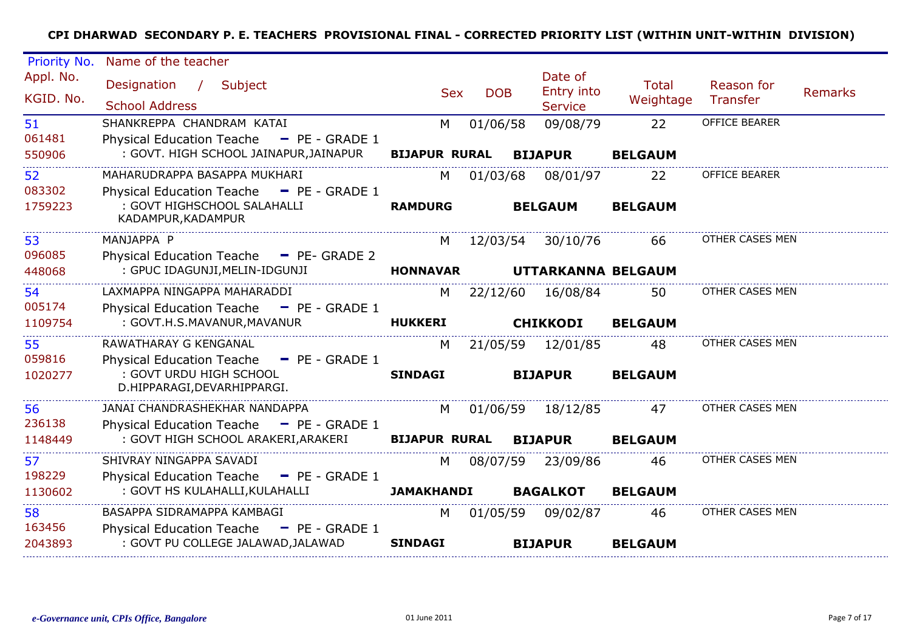| Priority No.           | Name of the teacher                                                                         |                      |            |                                         |                           |                        |                |
|------------------------|---------------------------------------------------------------------------------------------|----------------------|------------|-----------------------------------------|---------------------------|------------------------|----------------|
| Appl. No.<br>KGID. No. | Designation / Subject<br><b>School Address</b>                                              | <b>Sex</b>           | <b>DOB</b> | Date of<br>Entry into<br><b>Service</b> | <b>Total</b><br>Weightage | Reason for<br>Transfer | <b>Remarks</b> |
| 51<br>061481           | SHANKREPPA CHANDRAM KATAI<br>Physical Education Teache - PE - GRADE 1                       | M                    | 01/06/58   | 09/08/79                                | 22                        | OFFICE BEARER          |                |
| 550906                 | : GOVT. HIGH SCHOOL JAINAPUR, JAINAPUR                                                      | <b>BIJAPUR RURAL</b> |            | <b>BIJAPUR</b>                          | <b>BELGAUM</b>            |                        |                |
| 52<br>083302           | MAHARUDRAPPA BASAPPA MUKHARI<br>Physical Education Teache - PE - GRADE 1                    | M                    | 01/03/68   | 08/01/97                                | 22                        | <b>OFFICE BEARER</b>   |                |
| 1759223                | : GOVT HIGHSCHOOL SALAHALLI<br>KADAMPUR, KADAMPUR                                           | <b>RAMDURG</b>       |            | <b>BELGAUM</b>                          | <b>BELGAUM</b>            |                        |                |
| 53                     | MANJAPPA P                                                                                  | M.                   |            | 12/03/54 30/10/76                       | 66                        | OTHER CASES MEN        |                |
| 096085<br>448068       | Physical Education Teache - PE- GRADE 2<br>: GPUC IDAGUNJI, MELIN-IDGUNJI                   | <b>HONNAVAR</b>      |            | UTTARKANNA BELGAUM                      |                           |                        |                |
| 54                     | LAXMAPPA NINGAPPA MAHARADDI                                                                 | M                    | 22/12/60   | 16/08/84                                | 50                        | OTHER CASES MEN        |                |
| 005174<br>1109754      | Physical Education Teache - PE - GRADE 1<br>: GOVT.H.S.MAVANUR, MAVANUR                     | <b>HUKKERI</b>       |            | <b>CHIKKODI</b>                         | <b>BELGAUM</b>            |                        |                |
| 55<br>059816           | RAWATHARAY G KENGANAL<br>Physical Education Teache - PE - GRADE 1                           | M                    | 21/05/59   | 12/01/85                                | 48                        | OTHER CASES MEN        |                |
| 1020277                | : GOVT URDU HIGH SCHOOL<br>D.HIPPARAGI, DEVARHIPPARGI.                                      | <b>SINDAGI</b>       |            | <b>BIJAPUR</b>                          | <b>BELGAUM</b>            |                        |                |
| 56<br>236138           | JANAI CHANDRASHEKHAR NANDAPPA                                                               | M                    | 01/06/59   | 18/12/85                                | 47                        | OTHER CASES MEN        |                |
| 1148449                | <b>Physical Education Teache</b><br>$-$ PE - GRADE 1<br>: GOVT HIGH SCHOOL ARAKERI, ARAKERI | <b>BIJAPUR RURAL</b> |            | <b>BIJAPUR</b>                          | <b>BELGAUM</b>            |                        |                |
| 57                     | SHIVRAY NINGAPPA SAVADI                                                                     | M                    | 08/07/59   | 23/09/86                                | 46                        | OTHER CASES MEN        |                |
| 198229<br>1130602      | Physical Education Teache - PE - GRADE 1<br>: GOVT HS KULAHALLI, KULAHALLI                  | <b>JAMAKHANDI</b>    |            | <b>BAGALKOT</b>                         | <b>BELGAUM</b>            |                        |                |
| 58                     | BASAPPA SIDRAMAPPA KAMBAGI                                                                  |                      |            |                                         |                           | OTHER CASES MEN        |                |
| 163456                 | Physical Education Teache - PE - GRADE 1                                                    | M                    | 01/05/59   | 09/02/87                                | 46                        |                        |                |
| 2043893                | : GOVT PU COLLEGE JALAWAD, JALAWAD                                                          | <b>SINDAGI</b>       |            | <b>BIJAPUR</b>                          | <b>BELGAUM</b>            |                        |                |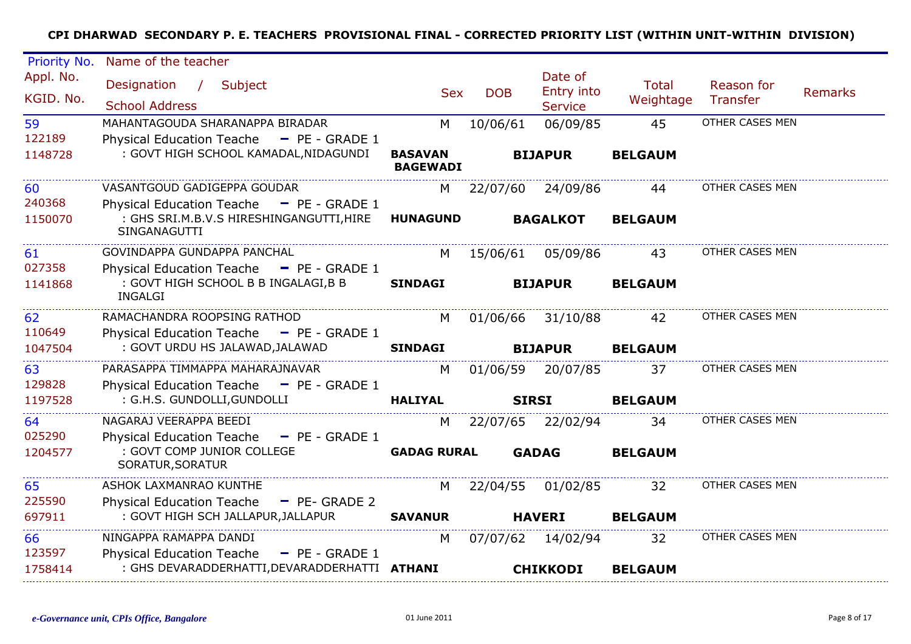| Priority No.                   | Name of the teacher                                                                                 |                                   |            |                                         |                           |                        |                |
|--------------------------------|-----------------------------------------------------------------------------------------------------|-----------------------------------|------------|-----------------------------------------|---------------------------|------------------------|----------------|
| Appl. No.<br>KGID. No.         | Designation / Subject<br><b>School Address</b>                                                      | <b>Sex</b>                        | <b>DOB</b> | Date of<br>Entry into<br><b>Service</b> | <b>Total</b><br>Weightage | Reason for<br>Transfer | <b>Remarks</b> |
| 59                             | MAHANTAGOUDA SHARANAPPA BIRADAR                                                                     | M                                 | 10/06/61   | 06/09/85                                | 45                        | OTHER CASES MEN        |                |
| 122189<br>1148728              | Physical Education Teache - PE - GRADE 1<br>: GOVT HIGH SCHOOL KAMADAL, NIDAGUNDI                   | <b>BASAVAN</b><br><b>BAGEWADI</b> |            | <b>BIJAPUR</b>                          | <b>BELGAUM</b>            |                        |                |
| 60                             | VASANTGOUD GADIGEPPA GOUDAR                                                                         | M l                               |            | 22/07/60 24/09/86                       | 44                        | OTHER CASES MEN        |                |
| 240368<br>1150070              | Physical Education Teache - PE - GRADE 1<br>: GHS SRI.M.B.V.S HIRESHINGANGUTTI,HIRE<br>SINGANAGUTTI | <b>HUNAGUND</b>                   |            | <b>BAGALKOT</b>                         | <b>BELGAUM</b>            |                        |                |
| 61                             | GOVINDAPPA GUNDAPPA PANCHAL                                                                         | M                                 |            | 15/06/61 05/09/86                       | 43                        | OTHER CASES MEN        |                |
| 027358                         | Physical Education Teache - PE - GRADE 1                                                            |                                   |            |                                         |                           |                        |                |
| 1141868                        | : GOVT HIGH SCHOOL B B INGALAGI, B B<br>INGALGI                                                     | <b>SINDAGI</b>                    |            | <b>BIJAPUR</b>                          | <b>BELGAUM</b>            |                        |                |
| 62                             | RAMACHANDRA ROOPSING RATHOD                                                                         | M <sub>N</sub>                    |            | 01/06/66 31/10/88                       | 42                        | OTHER CASES MEN        |                |
| 110649                         | Physical Education Teache - PE - GRADE 1                                                            |                                   |            |                                         |                           |                        |                |
| 1047504                        | : GOVT URDU HS JALAWAD, JALAWAD                                                                     | <b>SINDAGI</b>                    |            | <b>BIJAPUR</b>                          | <b>BELGAUM</b>            |                        |                |
| 63                             | PARASAPPA TIMMAPPA MAHARAJNAVAR                                                                     | M                                 |            | 01/06/59 20/07/85                       | 37                        | OTHER CASES MEN        |                |
| 129828                         | Physical Education Teache - PE - GRADE 1                                                            |                                   |            |                                         |                           |                        |                |
| 1197528                        | : G.H.S. GUNDOLLI, GUNDOLLI                                                                         | <b>HALIYAL</b>                    |            | <b>SIRSI</b>                            | <b>BELGAUM</b>            |                        |                |
| 64                             | NAGARAJ VEERAPPA BEEDI                                                                              | M                                 |            | 22/07/65 22/02/94                       | 34                        | OTHER CASES MEN        |                |
| 025290                         | Physical Education Teache - PE - GRADE 1                                                            |                                   |            |                                         |                           |                        |                |
| 1204577<br>_____________       | : GOVT COMP JUNIOR COLLEGE<br>SORATUR, SORATUR                                                      | <b>GADAG RURAL</b>                |            | <b>GADAG</b>                            | <b>BELGAUM</b>            |                        |                |
| 65                             | ASHOK LAXMANRAO KUNTHE                                                                              |                                   |            | M 22/04/55 01/02/85                     | 32                        | OTHER CASES MEN        |                |
| 225590                         | <b>Physical Education Teache</b><br>$-$ PE- GRADE 2                                                 |                                   |            |                                         |                           |                        |                |
| 697911                         | : GOVT HIGH SCH JALLAPUR, JALLAPUR                                                                  | <b>SAVANUR</b>                    |            | <b>HAVERI</b>                           | <b>BELGAUM</b>            |                        |                |
| 66                             | NINGAPPA RAMAPPA DANDI                                                                              | M                                 |            | 07/07/62 14/02/94                       | 32                        | OTHER CASES MEN        |                |
| 123597                         | Physical Education Teache - PE - GRADE 1                                                            |                                   |            |                                         |                           |                        |                |
| 1758414<br>------------------- | : GHS DEVARADDERHATTI,DEVARADDERHATTI ATHANI                                                        |                                   |            | <b>CHIKKODI</b>                         | <b>BELGAUM</b>            |                        |                |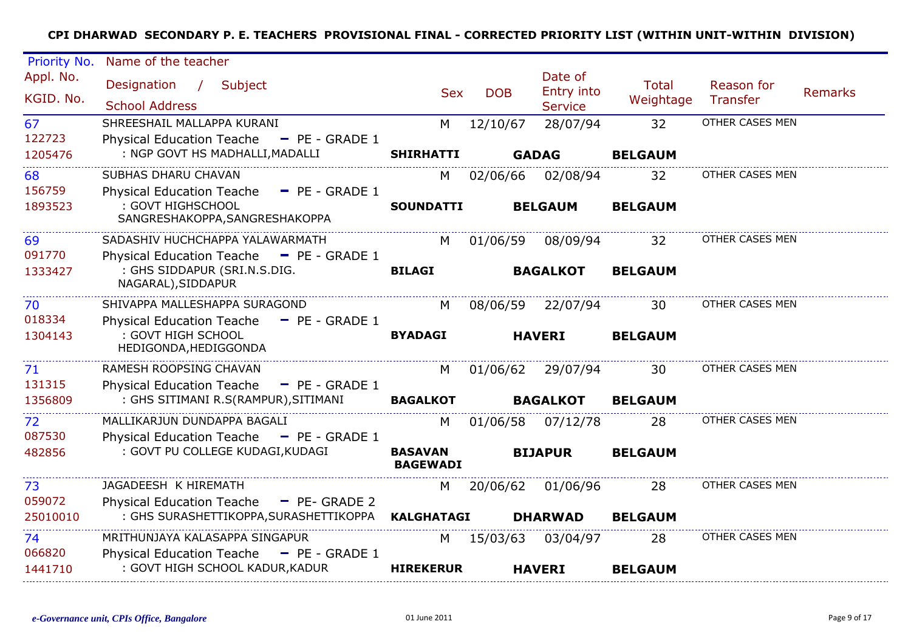| Priority No.      | Name of the teacher                                                                     |                   |            |                       |                |                 |         |
|-------------------|-----------------------------------------------------------------------------------------|-------------------|------------|-----------------------|----------------|-----------------|---------|
| Appl. No.         | Designation / Subject                                                                   | <b>Sex</b>        | <b>DOB</b> | Date of<br>Entry into | <b>Total</b>   | Reason for      | Remarks |
| KGID. No.         | <b>School Address</b>                                                                   |                   |            | <b>Service</b>        | Weightage      | <b>Transfer</b> |         |
| 67                | SHREESHAIL MALLAPPA KURANI                                                              | M                 | 12/10/67   | 28/07/94              | 32             | OTHER CASES MEN |         |
| 122723<br>1205476 | <b>Physical Education Teache</b><br>$-$ PE - GRADE 1<br>: NGP GOVT HS MADHALLI, MADALLI | <b>SHIRHATTI</b>  |            | <b>GADAG</b>          | <b>BELGAUM</b> |                 |         |
| 68                | SUBHAS DHARU CHAVAN                                                                     | M                 | 02/06/66   | 02/08/94              | 32             | OTHER CASES MEN |         |
| 156759            | Physical Education Teache $=$ PE - GRADE 1                                              |                   |            |                       |                |                 |         |
| 1893523           | : GOVT HIGHSCHOOL<br>SANGRESHAKOPPA, SANGRESHAKOPPA                                     | <b>SOUNDATTI</b>  |            | <b>BELGAUM</b>        | <b>BELGAUM</b> |                 |         |
| 69                | SADASHIV HUCHCHAPPA YALAWARMATH                                                         | M                 | 01/06/59   | 08/09/94              | 32             | OTHER CASES MEN |         |
| 091770            | Physical Education Teache - PE - GRADE 1                                                |                   |            |                       |                |                 |         |
| 1333427           | : GHS SIDDAPUR (SRI.N.S.DIG.<br>NAGARAL), SIDDAPUR                                      | <b>BILAGI</b>     |            | <b>BAGALKOT</b>       | <b>BELGAUM</b> |                 |         |
| 70                | SHIVAPPA MALLESHAPPA SURAGOND                                                           | M                 |            | 08/06/59 22/07/94     | 30             | OTHER CASES MEN |         |
| 018334            | Physical Education Teache - PE - GRADE 1<br>: GOVT HIGH SCHOOL                          | <b>BYADAGI</b>    |            | <b>HAVERI</b>         |                |                 |         |
| 1304143           | HEDIGONDA, HEDIGGONDA                                                                   |                   |            |                       | <b>BELGAUM</b> |                 |         |
| 71                | RAMESH ROOPSING CHAVAN                                                                  | M                 |            | 01/06/62 29/07/94     | 30             | OTHER CASES MEN |         |
| 131315<br>1356809 | Physical Education Teache - PE - GRADE 1<br>: GHS SITIMANI R.S(RAMPUR), SITIMANI        |                   |            |                       |                |                 |         |
|                   |                                                                                         | <b>BAGALKOT</b>   |            | <b>BAGALKOT</b>       | <b>BELGAUM</b> |                 |         |
| 72<br>087530      | MALLIKARJUN DUNDAPPA BAGALI<br>Physical Education Teache - PE - GRADE 1                 | M                 |            | 01/06/58 07/12/78     | 28             | OTHER CASES MEN |         |
| 482856            | : GOVT PU COLLEGE KUDAGI, KUDAGI                                                        | <b>BASAVAN</b>    |            | <b>BIJAPUR</b>        | <b>BELGAUM</b> |                 |         |
|                   |                                                                                         | <b>BAGEWADI</b>   |            |                       |                |                 |         |
| 73                | JAGADEESH K HIREMATH                                                                    | M                 | 20/06/62   | 01/06/96              | 28             | OTHER CASES MEN |         |
| 059072            | <b>Physical Education Teache</b><br>$-$ PE- GRADE 2                                     |                   |            |                       |                |                 |         |
| 25010010          | : GHS SURASHETTIKOPPA, SURASHETTIKOPPA                                                  | <b>KALGHATAGI</b> |            | <b>DHARWAD</b>        | <b>BELGAUM</b> |                 |         |
| 74<br>066820      | MRITHUNJAYA KALASAPPA SINGAPUR                                                          | M                 | 15/03/63   | 03/04/97              | 28             | OTHER CASES MEN |         |
| 1441710           | Physical Education Teache - PE - GRADE 1<br>: GOVT HIGH SCHOOL KADUR, KADUR             | <b>HIREKERUR</b>  |            | <b>HAVERI</b>         | <b>BELGAUM</b> |                 |         |
|                   |                                                                                         |                   |            |                       |                |                 |         |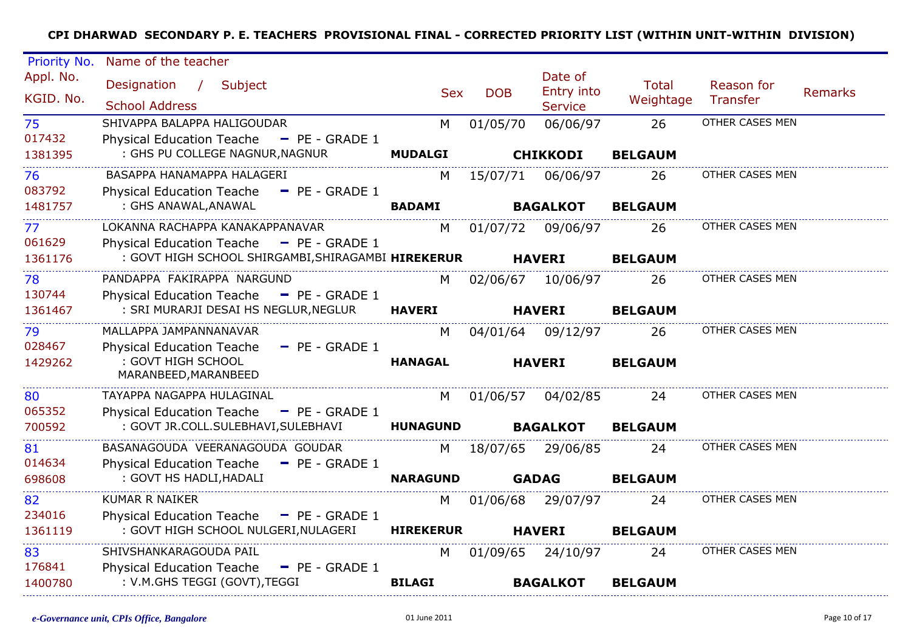| Priority No.           | Name of the teacher                                                                                |                  |            |                                         |                           |                        |                |
|------------------------|----------------------------------------------------------------------------------------------------|------------------|------------|-----------------------------------------|---------------------------|------------------------|----------------|
| Appl. No.<br>KGID. No. | Designation / Subject<br><b>School Address</b>                                                     | <b>Sex</b>       | <b>DOB</b> | Date of<br>Entry into<br><b>Service</b> | <b>Total</b><br>Weightage | Reason for<br>Transfer | <b>Remarks</b> |
| 75<br>017432           | SHIVAPPA BALAPPA HALIGOUDAR<br><b>Physical Education Teache</b><br>$P = P = GRADE1$                | M                | 01/05/70   | 06/06/97                                | 26                        | OTHER CASES MEN        |                |
| 1381395                | : GHS PU COLLEGE NAGNUR, NAGNUR                                                                    | <b>MUDALGI</b>   |            | <b>CHIKKODI</b>                         | <b>BELGAUM</b>            |                        |                |
| 76<br>083792           | BASAPPA HANAMAPPA HALAGERI<br><b>Physical Education Teache</b><br>$-$ PE - GRADE 1                 | M                | 15/07/71   | 06/06/97                                | 26                        | OTHER CASES MEN        |                |
| 1481757                | : GHS ANAWAL, ANAWAL                                                                               | <b>BADAMI</b>    |            | <b>BAGALKOT</b>                         | <b>BELGAUM</b>            |                        |                |
| 77<br>061629           | LOKANNA RACHAPPA KANAKAPPANAVAR<br><b>Physical Education Teache</b><br>$-$ PE - GRADE 1            | M                | 01/07/72   | 09/06/97                                | 26                        | OTHER CASES MEN        |                |
| 1361176                | : GOVT HIGH SCHOOL SHIRGAMBI, SHIRAGAMBI HIREKERUR                                                 |                  |            | <b>HAVERI</b>                           | <b>BELGAUM</b>            |                        |                |
| 78<br>130744           | PANDAPPA FAKIRAPPA NARGUND<br><b>Physical Education Teache</b><br>$P = P = GRADE1$                 | M                | 02/06/67   | 10/06/97                                | 26                        | OTHER CASES MEN        |                |
| 1361467                | : SRI MURARJI DESAI HS NEGLUR, NEGLUR                                                              | <b>HAVERI</b>    |            | <b>HAVERI</b>                           | <b>BELGAUM</b>            |                        |                |
| 79                     | MALLAPPA JAMPANNANAVAR                                                                             | M                |            | 04/01/64 09/12/97                       | 26                        | OTHER CASES MEN        |                |
| 028467<br>1429262      | $-$ PE - GRADE 1<br><b>Physical Education Teache</b><br>: GOVT HIGH SCHOOL<br>MARANBEED, MARANBEED | <b>HANAGAL</b>   |            | <b>HAVERI</b>                           | <b>BELGAUM</b>            |                        |                |
| 80<br>065352           | TAYAPPA NAGAPPA HULAGINAL<br><b>Physical Education Teache</b><br>$-$ PE - GRADE 1                  | M                | 01/06/57   | 04/02/85                                | 24                        | OTHER CASES MEN        |                |
| 700592                 | : GOVT JR.COLL.SULEBHAVI, SULEBHAVI                                                                | <b>HUNAGUND</b>  |            | <b>BAGALKOT</b>                         | <b>BELGAUM</b>            |                        |                |
| 81<br>014634           | BASANAGOUDA VEERANAGOUDA GOUDAR<br><b>Physical Education Teache</b><br>$P = P = GRADE1$            | M                | 18/07/65   | 29/06/85                                | 24                        | OTHER CASES MEN        |                |
| 698608                 | : GOVT HS HADLI, HADALI                                                                            | <b>NARAGUND</b>  |            | <b>GADAG</b>                            | <b>BELGAUM</b>            |                        |                |
| 82                     | <b>KUMAR R NAIKER</b>                                                                              | M                |            | 01/06/68 29/07/97                       | 24                        | OTHER CASES MEN        |                |
| 234016<br>1361119      | Physical Education Teache - PE - GRADE 1<br>: GOVT HIGH SCHOOL NULGERI, NULAGERI                   | <b>HIREKERUR</b> |            | <b>HAVERI</b>                           | <b>BELGAUM</b>            |                        |                |
| 83<br>176841           | SHIVSHANKARAGOUDA PAIL<br><b>Physical Education Teache</b><br>$-$ PE - GRADE 1                     | M                |            | 01/09/65 24/10/97                       | 24                        | OTHER CASES MEN        |                |
| 1400780                | : V.M.GHS TEGGI (GOVT), TEGGI                                                                      | <b>BILAGI</b>    |            | <b>BAGALKOT</b>                         | <b>BELGAUM</b>            |                        |                |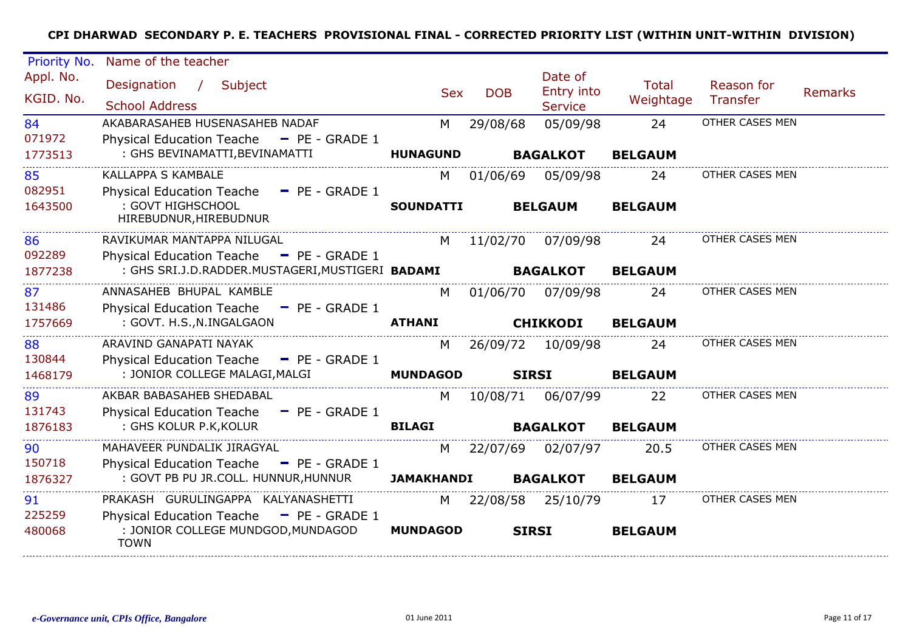| Priority No.           | Name of the teacher                                                                           |                   |            |                                         |                           |                        |                |
|------------------------|-----------------------------------------------------------------------------------------------|-------------------|------------|-----------------------------------------|---------------------------|------------------------|----------------|
| Appl. No.<br>KGID. No. | Designation<br>$\frac{1}{2}$<br>Subject<br><b>School Address</b>                              | <b>Sex</b>        | <b>DOB</b> | Date of<br>Entry into<br><b>Service</b> | <b>Total</b><br>Weightage | Reason for<br>Transfer | <b>Remarks</b> |
| 84                     | AKABARASAHEB HUSENASAHEB NADAF                                                                | M                 | 29/08/68   | 05/09/98                                | 24                        | OTHER CASES MEN        |                |
| 071972                 | Physical Education Teache - PE - GRADE 1                                                      |                   |            |                                         |                           |                        |                |
| 1773513                | : GHS BEVINAMATTI, BEVINAMATTI                                                                | <b>HUNAGUND</b>   |            | <b>BAGALKOT</b>                         | <b>BELGAUM</b>            |                        |                |
| 85                     | <b>KALLAPPA S KAMBALE</b>                                                                     | M                 | 01/06/69   | 05/09/98                                | 24                        | OTHER CASES MEN        |                |
| 082951                 | Physical Education Teache - PE - GRADE 1                                                      |                   |            |                                         |                           |                        |                |
| 1643500                | : GOVT HIGHSCHOOL<br>HIREBUDNUR, HIREBUDNUR                                                   | <b>SOUNDATTI</b>  |            | <b>BELGAUM</b>                          | <b>BELGAUM</b>            |                        |                |
| 86                     | RAVIKUMAR MANTAPPA NILUGAL                                                                    | M                 | 11/02/70   | 07/09/98                                | 24                        | OTHER CASES MEN        |                |
| 092289                 | Physical Education Teache - PE - GRADE 1                                                      |                   |            |                                         |                           |                        |                |
| 1877238                | : GHS SRI.J.D.RADDER.MUSTAGERI, MUSTIGERI BADAMI                                              |                   |            | <b>BAGALKOT</b>                         | <b>BELGAUM</b>            |                        |                |
| 87                     | ANNASAHEB BHUPAL KAMBLE                                                                       | M                 | 01/06/70   | 07/09/98                                | 24                        | OTHER CASES MEN        |                |
| 131486                 | Physical Education Teache - PE - GRADE 1                                                      |                   |            |                                         |                           |                        |                |
| 1757669                | : GOVT. H.S., N.INGALGAON                                                                     | <b>ATHANI</b>     |            | <b>CHIKKODI</b>                         | <b>BELGAUM</b>            |                        |                |
| 88                     | ARAVIND GANAPATI NAYAK                                                                        | M                 | 26/09/72   | 10/09/98                                | 24                        | OTHER CASES MEN        |                |
| 130844                 | <b>Physical Education Teache</b><br>$-$ PE - GRADE 1                                          |                   |            |                                         |                           |                        |                |
| 1468179                | : JONIOR COLLEGE MALAGI, MALGI                                                                | <b>MUNDAGOD</b>   |            | <b>SIRSI</b>                            | <b>BELGAUM</b>            |                        |                |
| 89                     | AKBAR BABASAHEB SHEDABAL                                                                      | M                 | 10/08/71   | 06/07/99                                | 22                        | OTHER CASES MEN        |                |
| 131743                 | <b>Physical Education Teache</b><br>$-$ PE - GRADE 1                                          |                   |            |                                         |                           |                        |                |
| 1876183                | : GHS KOLUR P.K, KOLUR                                                                        | <b>BILAGI</b>     |            | <b>BAGALKOT</b>                         | <b>BELGAUM</b>            |                        |                |
| 90                     | MAHAVEER PUNDALIK JIRAGYAL                                                                    | M                 | 22/07/69   | 02/07/97                                | 20.5                      | OTHER CASES MEN        |                |
| 150718                 | <b>Physical Education Teache</b><br>$P = P = GRADE1$                                          |                   |            |                                         |                           |                        |                |
| 1876327                | : GOVT PB PU JR.COLL. HUNNUR, HUNNUR                                                          | <b>JAMAKHANDI</b> |            | <b>BAGALKOT</b>                         | <b>BELGAUM</b>            |                        |                |
| 91                     | PRAKASH GURULINGAPPA KALYANASHETTI                                                            | M                 | 22/08/58   | 25/10/79                                | 17                        | OTHER CASES MEN        |                |
| 225259<br>480068       | Physical Education Teache - PE - GRADE 1<br>: JONIOR COLLEGE MUNDGOD, MUNDAGOD<br><b>TOWN</b> | <b>MUNDAGOD</b>   |            | <b>SIRSI</b>                            | <b>BELGAUM</b>            |                        |                |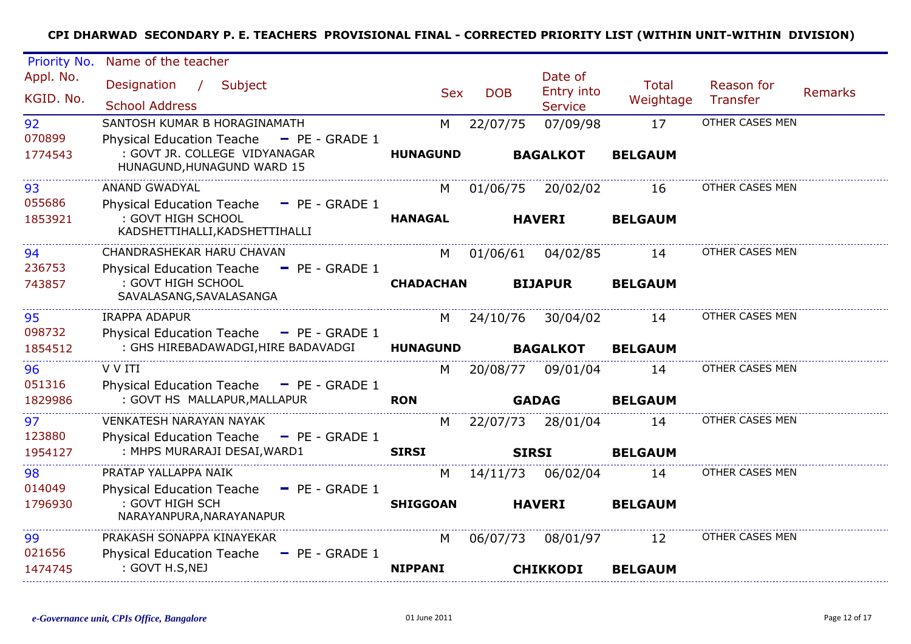| Priority No.           | Name of the teacher                                                                                     |                  |              |                                         |                    |                        |         |
|------------------------|---------------------------------------------------------------------------------------------------------|------------------|--------------|-----------------------------------------|--------------------|------------------------|---------|
| Appl. No.<br>KGID, No. | Designation / Subject<br><b>School Address</b>                                                          | <b>Sex</b>       | <b>DOB</b>   | Date of<br>Entry into<br><b>Service</b> | Total<br>Weightage | Reason for<br>Transfer | Remarks |
| 92                     | SANTOSH KUMAR B HORAGINAMATH                                                                            | M                | 22/07/75     | 07/09/98                                | 17                 | OTHER CASES MEN        |         |
| 070899<br>1774543      | Physical Education Teache - PE - GRADE 1<br>: GOVT JR. COLLEGE VIDYANAGAR<br>HUNAGUND, HUNAGUND WARD 15 | <b>HUNAGUND</b>  |              | <b>BAGALKOT</b>                         | <b>BELGAUM</b>     |                        |         |
| 93                     | <b>ANAND GWADYAL</b>                                                                                    | M                | 01/06/75     | 20/02/02                                | 16                 | OTHER CASES MEN        |         |
| 055686                 | <b>Physical Education Teache</b><br>$-$ PE - GRADE 1                                                    |                  |              |                                         |                    |                        |         |
| 1853921                | : GOVT HIGH SCHOOL<br>KADSHETTIHALLI, KADSHETTIHALLI                                                    | <b>HANAGAL</b>   |              | <b>HAVERI</b>                           | <b>BELGAUM</b>     |                        |         |
| 94                     | CHANDRASHEKAR HARU CHAVAN                                                                               | M                | 01/06/61     | 04/02/85                                | 14                 | OTHER CASES MEN        |         |
| 236753                 | Physical Education Teache - PE - GRADE 1                                                                |                  |              |                                         |                    |                        |         |
| 743857                 | : GOVT HIGH SCHOOL<br>SAVALASANG, SAVALASANGA                                                           | <b>CHADACHAN</b> |              | <b>BIJAPUR</b>                          | <b>BELGAUM</b>     |                        |         |
| 95                     | <b>IRAPPA ADAPUR</b>                                                                                    | M                | 24/10/76     | 30/04/02                                | 14                 | OTHER CASES MEN        |         |
| 098732                 | Physical Education Teache - PE - GRADE 1                                                                |                  |              |                                         |                    |                        |         |
| 1854512                | : GHS HIREBADAWADGI, HIRE BADAVADGI                                                                     | <b>HUNAGUND</b>  |              | <b>BAGALKOT</b>                         | <b>BELGAUM</b>     |                        |         |
| 96                     | V V ITI                                                                                                 | M                | 20/08/77     | 09/01/04                                | 14                 | OTHER CASES MEN        |         |
| 051316                 | Physical Education Teache $=$ PE - GRADE 1                                                              |                  |              |                                         |                    |                        |         |
| 1829986                | : GOVT HS MALLAPUR, MALLAPUR                                                                            | <b>RON</b>       |              | <b>GADAG</b>                            | <b>BELGAUM</b>     |                        |         |
| 97                     | <b>VENKATESH NARAYAN NAYAK</b>                                                                          | M                |              | 22/07/73 28/01/04                       | 14                 | OTHER CASES MEN        |         |
| 123880                 | Physical Education Teache - PE - GRADE 1                                                                |                  |              |                                         |                    |                        |         |
| 1954127                | : MHPS MURARAJI DESAI, WARD1                                                                            | <b>SIRSI</b>     | <b>SIRSI</b> |                                         | <b>BELGAUM</b>     |                        |         |
| 98                     | PRATAP YALLAPPA NAIK                                                                                    | M                | 14/11/73     | 06/02/04                                | 14                 | OTHER CASES MEN        |         |
| 014049                 | Physical Education Teache - PE - GRADE 1                                                                |                  |              |                                         |                    |                        |         |
| 1796930                | : GOVT HIGH SCH<br>NARAYANPURA, NARAYANAPUR                                                             | <b>SHIGGOAN</b>  |              | <b>HAVERI</b>                           | <b>BELGAUM</b>     |                        |         |
| 99                     | PRAKASH SONAPPA KINAYEKAR                                                                               | M                | 06/07/73     | 08/01/97                                | 12                 | OTHER CASES MEN        |         |
| 021656                 | <b>Physical Education Teache</b><br>$-$ PE - GRADE 1                                                    |                  |              |                                         |                    |                        |         |
| 1474745                | : GOVT H.S, NEJ                                                                                         | <b>NIPPANI</b>   |              | <b>CHIKKODI</b>                         | <b>BELGAUM</b>     |                        |         |
|                        |                                                                                                         |                  |              |                                         |                    |                        |         |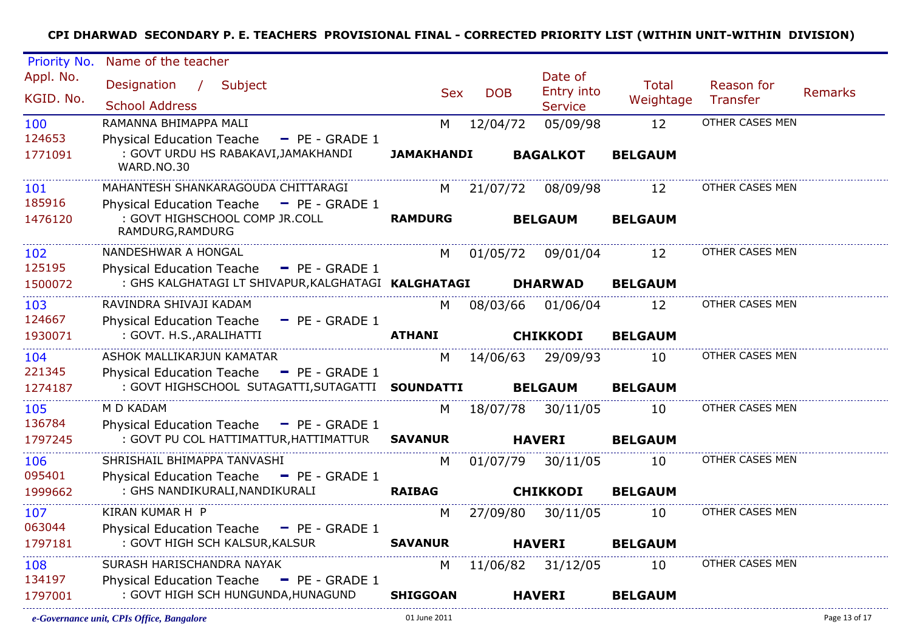| Priority No. | Name of the teacher                                  |                   |            |                            |                |                 |                |
|--------------|------------------------------------------------------|-------------------|------------|----------------------------|----------------|-----------------|----------------|
| Appl. No.    | Designation / Subject                                |                   |            | Date of                    | <b>Total</b>   | Reason for      |                |
| KGID. No.    | <b>School Address</b>                                | <b>Sex</b>        | <b>DOB</b> | Entry into                 | Weightage      | Transfer        | <b>Remarks</b> |
| 100          | RAMANNA BHIMAPPA MALI                                |                   |            | <b>Service</b><br>05/09/98 | 12             | OTHER CASES MEN |                |
| 124653       | <b>Physical Education Teache</b><br>$-$ PE - GRADE 1 | M                 | 12/04/72   |                            |                |                 |                |
| 1771091      | : GOVT URDU HS RABAKAVI, JAMAKHANDI<br>WARD.NO.30    | <b>JAMAKHANDI</b> |            | <b>BAGALKOT</b>            | <b>BELGAUM</b> |                 |                |
| 101          | MAHANTESH SHANKARAGOUDA CHITTARAGI                   | M                 | 21/07/72   | 08/09/98                   | 12             | OTHER CASES MEN |                |
| 185916       | Physical Education Teache - PE - GRADE 1             |                   |            |                            |                |                 |                |
| 1476120      | : GOVT HIGHSCHOOL COMP JR.COLL<br>RAMDURG, RAMDURG   | <b>RAMDURG</b>    |            | <b>BELGAUM</b>             | <b>BELGAUM</b> |                 |                |
| 102          | NANDESHWAR A HONGAL                                  | M                 | 01/05/72   | 09/01/04                   | 12             | OTHER CASES MEN |                |
| 125195       | Physical Education Teache - PE - GRADE 1             |                   |            |                            |                |                 |                |
| 1500072      | : GHS KALGHATAGI LT SHIVAPUR, KALGHATAGI KALGHATAGI  |                   |            | <b>DHARWAD</b>             | <b>BELGAUM</b> |                 |                |
| 103          | RAVINDRA SHIVAJI KADAM                               | M                 | 08/03/66   | 01/06/04                   | 12             | OTHER CASES MEN |                |
| 124667       | Physical Education Teache - PE - GRADE 1             |                   |            |                            |                |                 |                |
| 1930071      | : GOVT. H.S., ARALIHATTI                             | <b>ATHANI</b>     |            | <b>CHIKKODI</b>            | <b>BELGAUM</b> |                 |                |
| 104          | ASHOK MALLIKARJUN KAMATAR                            | M                 |            | 14/06/63 29/09/93          | 10             | OTHER CASES MEN |                |
| 221345       | Physical Education Teache - PE - GRADE 1             |                   |            |                            |                |                 |                |
| 1274187      | : GOVT HIGHSCHOOL SUTAGATTI, SUTAGATTI SOUNDATTI     |                   |            | <b>BELGAUM</b>             | <b>BELGAUM</b> |                 |                |
| 105          | M D KADAM                                            | M                 | 18/07/78   | 30/11/05                   | 10             | OTHER CASES MEN |                |
| 136784       | Physical Education Teache - PE - GRADE 1             |                   |            |                            |                |                 |                |
| 1797245      | : GOVT PU COL HATTIMATTUR, HATTIMATTUR               | <b>SAVANUR</b>    |            | <b>HAVERI</b>              | <b>BELGAUM</b> |                 |                |
| 106          | SHRISHAIL BHIMAPPA TANVASHI                          | M                 | 01/07/79   | 30/11/05                   | 10             | OTHER CASES MEN |                |
| 095401       | Physical Education Teache - PE - GRADE 1             |                   |            |                            |                |                 |                |
| 1999662      | : GHS NANDIKURALI, NANDIKURALI                       | <b>RAIBAG</b>     |            | <b>CHIKKODI</b>            | <b>BELGAUM</b> |                 |                |
| 107          | KIRAN KUMAR H P                                      | M                 | 27/09/80   | 30/11/05                   | 10             | OTHER CASES MEN |                |
| 063044       | Physical Education Teache - PE - GRADE 1             |                   |            |                            |                |                 |                |
| 1797181      | : GOVT HIGH SCH KALSUR, KALSUR                       | <b>SAVANUR</b>    |            | <b>HAVERI</b>              | <b>BELGAUM</b> |                 |                |
| 108          | SURASH HARISCHANDRA NAYAK                            | M                 |            | 11/06/82 31/12/05          | 10             | OTHER CASES MEN |                |
| 134197       | Physical Education Teache - PE - GRADE 1             |                   |            |                            |                |                 |                |
| 1797001      | : GOVT HIGH SCH HUNGUNDA, HUNAGUND                   | <b>SHIGGOAN</b>   |            | <b>HAVERI</b>              | <b>BELGAUM</b> |                 |                |
|              |                                                      |                   |            |                            |                |                 |                |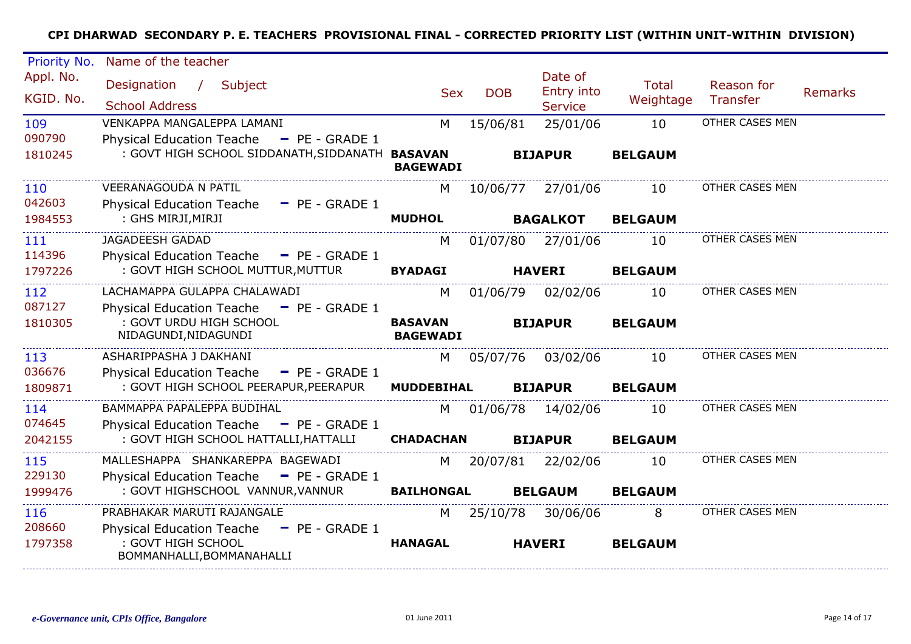| Priority No.           | Name of the teacher                                                                                     |                                   |            |                                         |                           |                        |                |
|------------------------|---------------------------------------------------------------------------------------------------------|-----------------------------------|------------|-----------------------------------------|---------------------------|------------------------|----------------|
| Appl. No.<br>KGID. No. | Designation<br>Subject<br>$\sqrt{2}$<br><b>School Address</b>                                           | <b>Sex</b>                        | <b>DOB</b> | Date of<br>Entry into<br><b>Service</b> | <b>Total</b><br>Weightage | Reason for<br>Transfer | <b>Remarks</b> |
| 109<br>090790          | VENKAPPA MANGALEPPA LAMANI<br><b>Physical Education Teache</b><br>$P = P = -$ GRADE 1                   | M                                 | 15/06/81   | 25/01/06                                | 10                        | OTHER CASES MEN        |                |
| 1810245                | : GOVT HIGH SCHOOL SIDDANATH, SIDDANATH BASAVAN                                                         | <b>BAGEWADI</b>                   |            | <b>BIJAPUR</b>                          | <b>BELGAUM</b>            |                        |                |
| 110<br>042603          | <b>VEERANAGOUDA N PATIL</b>                                                                             | M                                 | 10/06/77   | 27/01/06                                | 10                        | OTHER CASES MEN        |                |
| 1984553                | <b>Physical Education Teache</b><br>$\blacksquare$ PE - GRADE 1<br>: GHS MIRJI, MIRJI                   | <b>MUDHOL</b>                     |            | <b>BAGALKOT</b>                         | <b>BELGAUM</b>            |                        |                |
| 111<br>114396          | <b>JAGADEESH GADAD</b>                                                                                  | M                                 | 01/07/80   | 27/01/06                                | 10                        | OTHER CASES MEN        |                |
| 1797226                | <b>Physical Education Teache</b><br>$P = P = GRADE 1$<br>: GOVT HIGH SCHOOL MUTTUR, MUTTUR              | <b>BYADAGI</b>                    |            | <b>HAVERI</b>                           | <b>BELGAUM</b>            |                        |                |
| 112<br>087127          | LACHAMAPPA GULAPPA CHALAWADI                                                                            | M                                 | 01/06/79   | 02/02/06                                | 10                        | OTHER CASES MEN        |                |
| 1810305                | <b>Physical Education Teache</b><br>$-$ PE - GRADE 1<br>: GOVT URDU HIGH SCHOOL<br>NIDAGUNDI, NIDAGUNDI | <b>BASAVAN</b><br><b>BAGEWADI</b> |            | <b>BIJAPUR</b>                          | <b>BELGAUM</b>            |                        |                |
| 113                    | ASHARIPPASHA J DAKHANI                                                                                  | M                                 | 05/07/76   | 03/02/06                                | 10                        | OTHER CASES MEN        |                |
| 036676<br>1809871      | <b>Physical Education Teache</b><br>$P = PE - GRADE 1$<br>: GOVT HIGH SCHOOL PEERAPUR, PEERAPUR         | <b>MUDDEBIHAL</b>                 |            | <b>BIJAPUR</b>                          | <b>BELGAUM</b>            |                        |                |
| 114                    | BAMMAPPA PAPALEPPA BUDIHAL                                                                              | M                                 |            | 01/06/78 14/02/06                       | 10                        | OTHER CASES MEN        |                |
| 074645<br>2042155      | Physical Education Teache - PE - GRADE 1<br>: GOVT HIGH SCHOOL HATTALLI, HATTALLI                       | <b>CHADACHAN</b>                  |            | <b>BIJAPUR</b>                          | <b>BELGAUM</b>            |                        |                |
| 115                    | MALLESHAPPA SHANKAREPPA BAGEWADI                                                                        | M                                 | 20/07/81   | 22/02/06                                | 10                        | OTHER CASES MEN        |                |
| 229130<br>1999476      | <b>Physical Education Teache</b><br>$\blacksquare$ PE - GRADE 1<br>: GOVT HIGHSCHOOL VANNUR, VANNUR     | <b>BAILHONGAL</b>                 |            | <b>BELGAUM</b>                          | <b>BELGAUM</b>            |                        |                |
| 116                    | PRABHAKAR MARUTI RAJANGALE                                                                              | M                                 | 25/10/78   | 30/06/06                                | 8                         | OTHER CASES MEN        |                |
| 208660<br>1797358      | <b>Physical Education Teache</b><br>$-$ PE - GRADE 1<br>: GOVT HIGH SCHOOL<br>BOMMANHALLI, BOMMANAHALLI | <b>HANAGAL</b>                    |            | <b>HAVERI</b>                           | <b>BELGAUM</b>            |                        |                |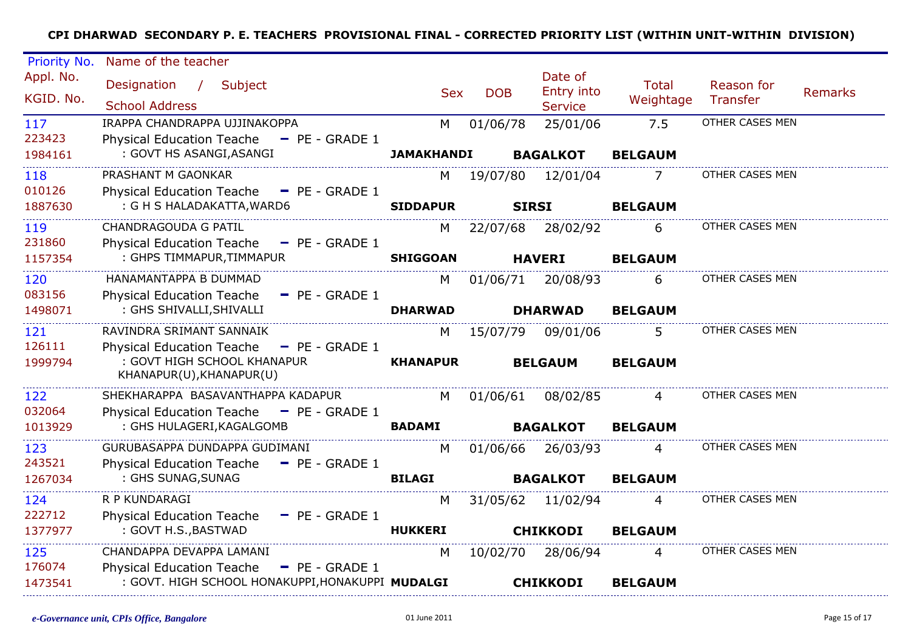| Priority No.           | Name of the teacher                                             |                   |            |                                         |                           |                               |                |
|------------------------|-----------------------------------------------------------------|-------------------|------------|-----------------------------------------|---------------------------|-------------------------------|----------------|
| Appl. No.<br>KGID. No. | Designation /<br>Subject<br><b>School Address</b>               | <b>Sex</b>        | <b>DOB</b> | Date of<br>Entry into<br><b>Service</b> | <b>Total</b><br>Weightage | Reason for<br><b>Transfer</b> | <b>Remarks</b> |
| 117                    | IRAPPA CHANDRAPPA UJJINAKOPPA                                   | м                 | 01/06/78   | 25/01/06                                | 7.5                       | OTHER CASES MEN               |                |
| 223423                 | <b>Physical Education Teache</b><br>$-$ PE - GRADE 1            |                   |            |                                         |                           |                               |                |
| 1984161                | : GOVT HS ASANGI, ASANGI                                        | <b>JAMAKHANDI</b> |            | <b>BAGALKOT</b>                         | <b>BELGAUM</b>            |                               |                |
| 118                    | PRASHANT M GAONKAR                                              | М                 | 19/07/80   | 12/01/04                                | 7                         | OTHER CASES MEN               |                |
| 010126                 | $P = P = GRADE1$<br><b>Physical Education Teache</b>            |                   |            |                                         |                           |                               |                |
| 1887630                | : G H S HALADAKATTA, WARD6                                      | <b>SIDDAPUR</b>   |            | <b>SIRSI</b>                            | <b>BELGAUM</b>            |                               |                |
| 119                    | <b>CHANDRAGOUDA G PATIL</b>                                     | M                 | 22/07/68   | 28/02/92                                | 6                         | OTHER CASES MEN               |                |
| 231860                 | <b>Physical Education Teache</b><br>$-$ PE - GRADE 1            |                   |            |                                         |                           |                               |                |
| 1157354                | : GHPS TIMMAPUR, TIMMAPUR                                       | <b>SHIGGOAN</b>   |            | <b>HAVERI</b>                           | <b>BELGAUM</b>            |                               |                |
| 120                    | HANAMANTAPPA B DUMMAD                                           | М                 | 01/06/71   | 20/08/93                                | 6                         | OTHER CASES MEN               |                |
| 083156                 | <b>Physical Education Teache</b><br>$\blacksquare$ PE - GRADE 1 |                   |            |                                         |                           |                               |                |
| 1498071                | : GHS SHIVALLI, SHIVALLI                                        | <b>DHARWAD</b>    |            | <b>DHARWAD</b>                          | <b>BELGAUM</b>            |                               |                |
| 121                    | RAVINDRA SRIMANT SANNAIK                                        | M                 | 15/07/79   | 09/01/06                                | 5.                        | OTHER CASES MEN               |                |
| 126111                 | <b>Physical Education Teache</b><br>$P = P = GRADE1$            |                   |            |                                         |                           |                               |                |
| 1999794                | : GOVT HIGH SCHOOL KHANAPUR<br>KHANAPUR(U), KHANAPUR(U)         | <b>KHANAPUR</b>   |            | <b>BELGAUM</b>                          | <b>BELGAUM</b>            |                               |                |
| 122                    | SHEKHARAPPA BASAVANTHAPPA KADAPUR                               | M                 | 01/06/61   | 08/02/85                                | 4                         | OTHER CASES MEN               |                |
| 032064                 | $P = P = GRADE1$<br><b>Physical Education Teache</b>            |                   |            |                                         |                           |                               |                |
| 1013929                | : GHS HULAGERI, KAGALGOMB                                       | <b>BADAMI</b>     |            | <b>BAGALKOT</b>                         | <b>BELGAUM</b>            |                               |                |
| 123                    | GURUBASAPPA DUNDAPPA GUDIMANI                                   | M                 | 01/06/66   | 26/03/93                                | 4                         | OTHER CASES MEN               |                |
| 243521                 | <b>Physical Education Teache</b><br>$P = P = GRADE1$            |                   |            |                                         |                           |                               |                |
| 1267034                | : GHS SUNAG, SUNAG                                              | <b>BILAGI</b>     |            | <b>BAGALKOT</b>                         | <b>BELGAUM</b>            |                               |                |
| 124                    | R P KUNDARAGI                                                   | M                 | 31/05/62   | 11/02/94                                | 4                         | OTHER CASES MEN               |                |
| 222712                 | <b>Physical Education Teache</b><br>$-$ PE - GRADE 1            |                   |            |                                         |                           |                               |                |
| 1377977                | : GOVT H.S., BASTWAD                                            | <b>HUKKERI</b>    |            | <b>CHIKKODI</b>                         | <b>BELGAUM</b>            |                               |                |
| 125                    | CHANDAPPA DEVAPPA LAMANI                                        | M                 | 10/02/70   | 28/06/94                                | 4                         | OTHER CASES MEN               |                |
| 176074                 | <b>Physical Education Teache</b><br>$P = P = GRADE1$            |                   |            |                                         |                           |                               |                |
| 1473541                | : GOVT. HIGH SCHOOL HONAKUPPI, HONAKUPPI MUDALGI                |                   |            | <b>CHIKKODI</b>                         | <b>BELGAUM</b>            |                               |                |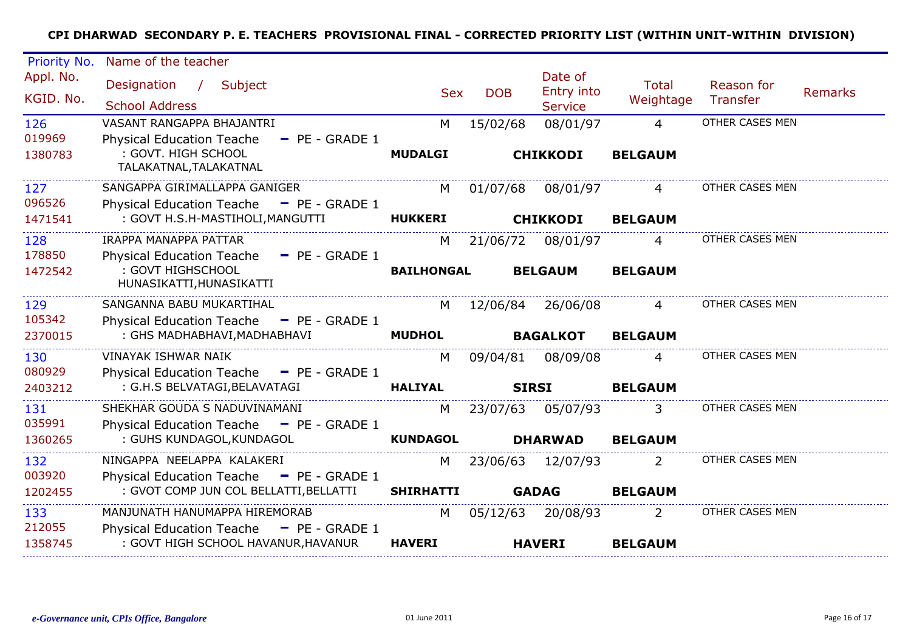| Priority No.             | Name of the teacher                                                                                    |                     |            |                                         |                                  |                        |                |
|--------------------------|--------------------------------------------------------------------------------------------------------|---------------------|------------|-----------------------------------------|----------------------------------|------------------------|----------------|
| Appl. No.<br>KGID. No.   | Designation<br>$\sqrt{2}$<br>Subject<br><b>School Address</b>                                          | <b>Sex</b>          | <b>DOB</b> | Date of<br>Entry into<br><b>Service</b> | <b>Total</b><br>Weightage        | Reason for<br>Transfer | <b>Remarks</b> |
| 126<br>019969<br>1380783 | VASANT RANGAPPA BHAJANTRI<br>- PE - GRADE 1<br><b>Physical Education Teache</b><br>: GOVT. HIGH SCHOOL | M<br><b>MUDALGI</b> | 15/02/68   | 08/01/97<br><b>CHIKKODI</b>             | $\overline{4}$<br><b>BELGAUM</b> | OTHER CASES MEN        |                |
|                          | TALAKATNAL, TALAKATNAL                                                                                 |                     |            |                                         |                                  |                        |                |
| 127<br>096526            | SANGAPPA GIRIMALLAPPA GANIGER<br>Physical Education Teache - PE - GRADE 1                              | M                   | 01/07/68   | 08/01/97                                | 4                                | OTHER CASES MEN        |                |
| 1471541                  | : GOVT H.S.H-MASTIHOLI, MANGUTTI                                                                       | <b>HUKKERI</b>      |            | <b>CHIKKODI</b>                         | <b>BELGAUM</b>                   |                        |                |
| 128<br>178850            | IRAPPA MANAPPA PATTAR<br>Physical Education Teache - PE - GRADE 1                                      | M                   | 21/06/72   | 08/01/97                                | $\overline{4}$                   | OTHER CASES MEN        |                |
| 1472542                  | : GOVT HIGHSCHOOL<br>HUNASIKATTI, HUNASIKATTI                                                          | <b>BAILHONGAL</b>   |            | <b>BELGAUM</b>                          | <b>BELGAUM</b>                   |                        |                |
| 129<br>105342            | SANGANNA BABU MUKARTIHAL<br>Physical Education Teache - PE - GRADE 1                                   | M                   | 12/06/84   | 26/06/08                                | $\overline{4}$                   | OTHER CASES MEN        |                |
| 2370015                  | : GHS MADHABHAVI, MADHABHAVI                                                                           | <b>MUDHOL</b>       |            | <b>BAGALKOT</b>                         | <b>BELGAUM</b>                   |                        |                |
| 130<br>080929            | <b>VINAYAK ISHWAR NAIK</b>                                                                             | M                   | 09/04/81   | 08/09/08                                | 4                                | OTHER CASES MEN        |                |
| 2403212                  | $-$ PE - GRADE 1<br><b>Physical Education Teache</b><br>: G.H.S BELVATAGI, BELAVATAGI                  | <b>HALIYAL</b>      |            | <b>SIRSI</b>                            | <b>BELGAUM</b>                   |                        |                |
| 131<br>035991            | SHEKHAR GOUDA S NADUVINAMANI<br><b>Physical Education Teache</b><br>$P = PE - GRADE 1$                 | M                   | 23/07/63   | 05/07/93                                | 3                                | OTHER CASES MEN        |                |
| 1360265                  | : GUHS KUNDAGOL, KUNDAGOL                                                                              | <b>KUNDAGOL</b>     |            | <b>DHARWAD</b>                          | <b>BELGAUM</b>                   |                        |                |
| 132<br>003920            | NINGAPPA NEELAPPA KALAKERI<br>Physical Education Teache - PE - GRADE 1                                 | M                   | 23/06/63   | 12/07/93                                | 2                                | OTHER CASES MEN        |                |
| 1202455                  | : GVOT COMP JUN COL BELLATTI, BELLATTI                                                                 | <b>SHIRHATTI</b>    |            | <b>GADAG</b>                            | <b>BELGAUM</b>                   |                        |                |
| 133<br>212055            | MANJUNATH HANUMAPPA HIREMORAB<br>Physical Education Teache - PE - GRADE 1                              | M                   | 05/12/63   | 20/08/93                                | 2                                | OTHER CASES MEN        |                |
| 1358745                  | : GOVT HIGH SCHOOL HAVANUR, HAVANUR                                                                    | <b>HAVERI</b>       |            | <b>HAVERI</b>                           | <b>BELGAUM</b>                   |                        |                |